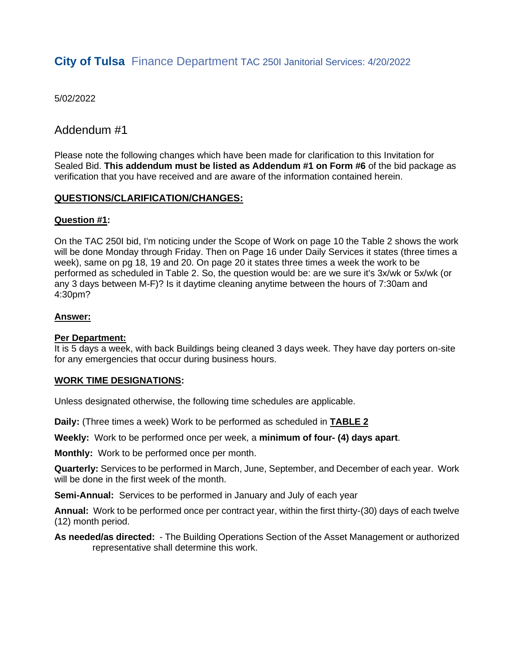## **City of Tulsa** Finance Department TAC 250I Janitorial Services: 4/20/2022

5/02/2022

#### Addendum #1

Please note the following changes which have been made for clarification to this Invitation for Sealed Bid. **This addendum must be listed as Addendum #1 on Form #6** of the bid package as verification that you have received and are aware of the information contained herein.

#### **QUESTIONS/CLARIFICATION/CHANGES:**

#### **Question #1:**

On the TAC 250I bid, I'm noticing under the Scope of Work on page 10 the Table 2 shows the work will be done Monday through Friday. Then on Page 16 under Daily Services it states (three times a week), same on pg 18, 19 and 20. On page 20 it states three times a week the work to be performed as scheduled in Table 2. So, the question would be: are we sure it's 3x/wk or 5x/wk (or any 3 days between M-F)? Is it daytime cleaning anytime between the hours of 7:30am and 4:30pm?

#### **Answer:**

#### **Per Department:**

It is 5 days a week, with back Buildings being cleaned 3 days week. They have day porters on-site for any emergencies that occur during business hours.

#### **WORK TIME DESIGNATIONS:**

Unless designated otherwise, the following time schedules are applicable.

**Daily:** (Three times a week) Work to be performed as scheduled in **TABLE 2**

**Weekly:** Work to be performed once per week, a **minimum of four- (4) days apart**.

**Monthly:** Work to be performed once per month.

**Quarterly:** Services to be performed in March, June, September, and December of each year. Work will be done in the first week of the month.

**Semi-Annual:** Services to be performed in January and July of each year

**Annual:** Work to be performed once per contract year, within the first thirty-(30) days of each twelve (12) month period.

**As needed/as directed:** - The Building Operations Section of the Asset Management or authorized representative shall determine this work.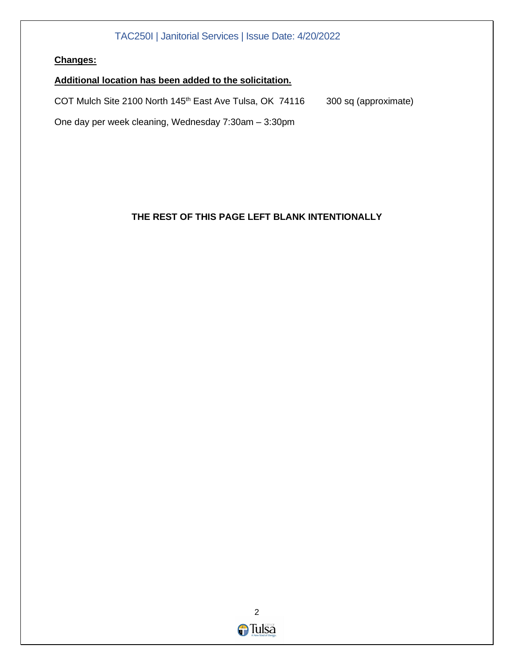#### **Changes:**

#### **Additional location has been added to the solicitation.**

COT Mulch Site 2100 North 145<sup>th</sup> East Ave Tulsa, OK 74116 300 sq (approximate)

One day per week cleaning, Wednesday 7:30am – 3:30pm

#### **THE REST OF THIS PAGE LEFT BLANK INTENTIONALLY**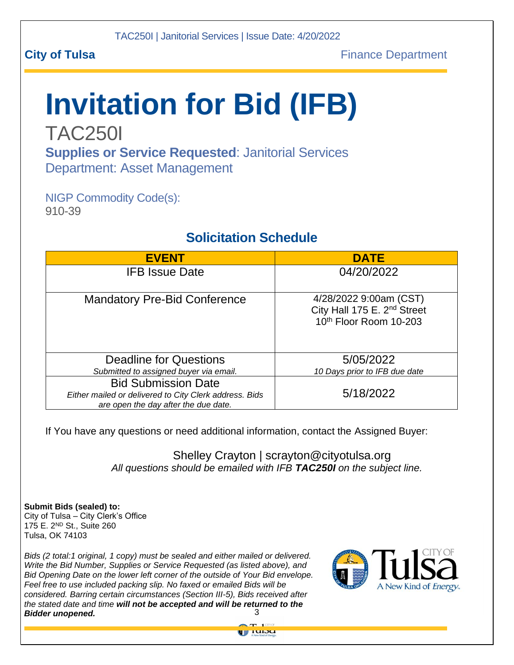# **Invitation for Bid (IFB)**

TAC250I **Supplies or Service Requested**: Janitorial Services Department: Asset Management

NIGP Commodity Code(s): 910-39

## **Solicitation Schedule**

| <b>EVENT</b>                                                                                                                 | <b>DATE</b>                                                                                 |
|------------------------------------------------------------------------------------------------------------------------------|---------------------------------------------------------------------------------------------|
| <b>IFB Issue Date</b>                                                                                                        | 04/20/2022                                                                                  |
| <b>Mandatory Pre-Bid Conference</b>                                                                                          | 4/28/2022 9:00am (CST)<br>City Hall 175 E. 2 <sup>nd</sup> Street<br>10th Floor Room 10-203 |
| Deadline for Questions                                                                                                       | 5/05/2022                                                                                   |
| Submitted to assigned buyer via email.                                                                                       | 10 Days prior to IFB due date                                                               |
| <b>Bid Submission Date</b><br>Either mailed or delivered to City Clerk address. Bids<br>are open the day after the due date. | 5/18/2022                                                                                   |

If You have any questions or need additional information, contact the Assigned Buyer:

Shelley Crayton | scrayton@cityotulsa.org *All questions should be emailed with IFB TAC250I on the subject line.*

**Submit Bids (sealed) to:** City of Tulsa – City Clerk's Office 175 E. 2ND St., Suite 260 Tulsa, OK 74103

 3 *Bidder unopened. Bids (2 total:1 original, 1 copy) must be sealed and either mailed or delivered. Write the Bid Number, Supplies or Service Requested (as listed above), and Bid Opening Date on the lower left corner of the outside of Your Bid envelope. Feel free to use included packing slip. No faxed or emailed Bids will be considered. Barring certain circumstances (Section III-5), Bids received after the stated date and time will not be accepted and will be returned to the* 



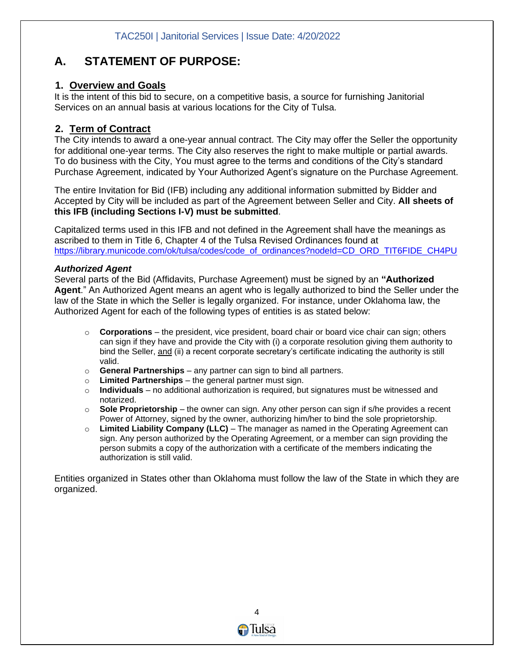## **A. STATEMENT OF PURPOSE:**

#### **1. Overview and Goals**

It is the intent of this bid to secure, on a competitive basis, a source for furnishing Janitorial Services on an annual basis at various locations for the City of Tulsa.

#### **2. Term of Contract**

The City intends to award a one-year annual contract. The City may offer the Seller the opportunity for additional one-year terms. The City also reserves the right to make multiple or partial awards. To do business with the City, You must agree to the terms and conditions of the City's standard Purchase Agreement, indicated by Your Authorized Agent's signature on the Purchase Agreement.

The entire Invitation for Bid (IFB) including any additional information submitted by Bidder and Accepted by City will be included as part of the Agreement between Seller and City. **All sheets of this IFB (including Sections I-V) must be submitted**.

Capitalized terms used in this IFB and not defined in the Agreement shall have the meanings as ascribed to them in Title 6, Chapter 4 of the Tulsa Revised Ordinances found at [https://library.municode.com/ok/tulsa/codes/code\\_of\\_ordinances?nodeId=CD\\_ORD\\_TIT6FIDE\\_CH4PU](https://library.municode.com/ok/tulsa/codes/code_of_ordinances?nodeId=CD_ORD_TIT6FIDE_CH4PU)

#### *Authorized Agent*

Several parts of the Bid (Affidavits, Purchase Agreement) must be signed by an **"Authorized Agent**." An Authorized Agent means an agent who is legally authorized to bind the Seller under the law of the State in which the Seller is legally organized. For instance, under Oklahoma law, the Authorized Agent for each of the following types of entities is as stated below:

- o **Corporations**  the president, vice president, board chair or board vice chair can sign; others can sign if they have and provide the City with (i) a corporate resolution giving them authority to bind the Seller, and (ii) a recent corporate secretary's certificate indicating the authority is still valid.
- o **General Partnerships**  any partner can sign to bind all partners.
- o **Limited Partnerships** the general partner must sign.
- o **Individuals** no additional authorization is required, but signatures must be witnessed and notarized.
- o **Sole Proprietorship** the owner can sign. Any other person can sign if s/he provides a recent Power of Attorney, signed by the owner, authorizing him/her to bind the sole proprietorship.
- o **Limited Liability Company (LLC)** The manager as named in the Operating Agreement can sign. Any person authorized by the Operating Agreement, or a member can sign providing the person submits a copy of the authorization with a certificate of the members indicating the authorization is still valid.

Entities organized in States other than Oklahoma must follow the law of the State in which they are organized.

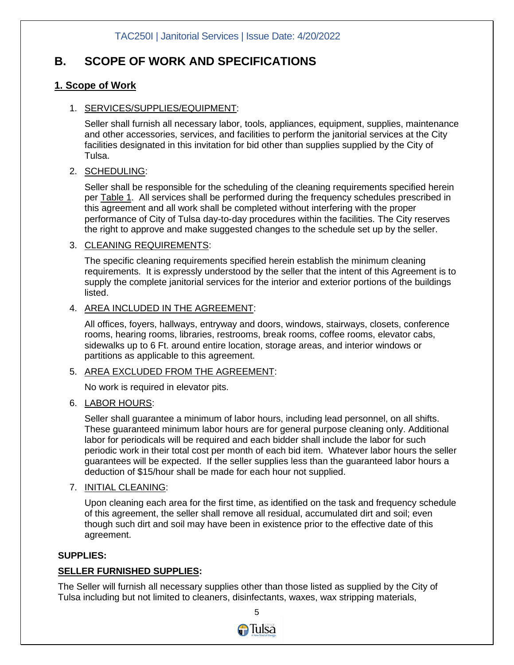## **B. SCOPE OF WORK AND SPECIFICATIONS**

#### **1. Scope of Work**

#### 1. SERVICES/SUPPLIES/EQUIPMENT:

Seller shall furnish all necessary labor, tools, appliances, equipment, supplies, maintenance and other accessories, services, and facilities to perform the janitorial services at the City facilities designated in this invitation for bid other than supplies supplied by the City of Tulsa.

#### 2. SCHEDULING:

Seller shall be responsible for the scheduling of the cleaning requirements specified herein per **Table 1.** All services shall be performed during the frequency schedules prescribed in this agreement and all work shall be completed without interfering with the proper performance of City of Tulsa day-to-day procedures within the facilities. The City reserves the right to approve and make suggested changes to the schedule set up by the seller.

#### 3. CLEANING REQUIREMENTS:

The specific cleaning requirements specified herein establish the minimum cleaning requirements. It is expressly understood by the seller that the intent of this Agreement is to supply the complete janitorial services for the interior and exterior portions of the buildings listed.

#### 4. AREA INCLUDED IN THE AGREEMENT:

All offices, foyers, hallways, entryway and doors, windows, stairways, closets, conference rooms, hearing rooms, libraries, restrooms, break rooms, coffee rooms, elevator cabs, sidewalks up to 6 Ft. around entire location, storage areas, and interior windows or partitions as applicable to this agreement.

#### 5. AREA EXCLUDED FROM THE AGREEMENT:

No work is required in elevator pits.

#### 6. LABOR HOURS:

Seller shall guarantee a minimum of labor hours, including lead personnel, on all shifts. These guaranteed minimum labor hours are for general purpose cleaning only. Additional labor for periodicals will be required and each bidder shall include the labor for such periodic work in their total cost per month of each bid item. Whatever labor hours the seller guarantees will be expected. If the seller supplies less than the guaranteed labor hours a deduction of \$15/hour shall be made for each hour not supplied.

#### 7. INITIAL CLEANING:

Upon cleaning each area for the first time, as identified on the task and frequency schedule of this agreement, the seller shall remove all residual, accumulated dirt and soil; even though such dirt and soil may have been in existence prior to the effective date of this agreement.

#### **SUPPLIES:**

#### **SELLER FURNISHED SUPPLIES:**

The Seller will furnish all necessary supplies other than those listed as supplied by the City of Tulsa including but not limited to cleaners, disinfectants, waxes, wax stripping materials,

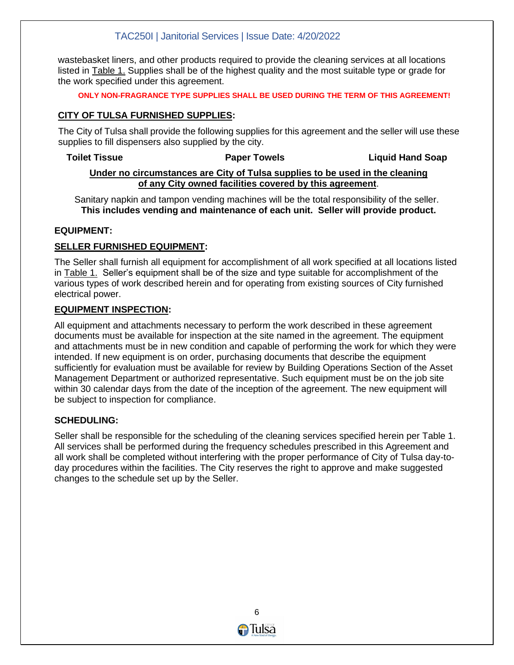wastebasket liners, and other products required to provide the cleaning services at all locations listed in Table 1. Supplies shall be of the highest quality and the most suitable type or grade for the work specified under this agreement.

#### **ONLY NON-FRAGRANCE TYPE SUPPLIES SHALL BE USED DURING THE TERM OF THIS AGREEMENT!**

#### **CITY OF TULSA FURNISHED SUPPLIES:**

The City of Tulsa shall provide the following supplies for this agreement and the seller will use these supplies to fill dispensers also supplied by the city.

#### **Toilet Tissue Paper Towels Liquid Hand Soap Under no circumstances are City of Tulsa supplies to be used in the cleaning of any City owned facilities covered by this agreement**.

Sanitary napkin and tampon vending machines will be the total responsibility of the seller. **This includes vending and maintenance of each unit. Seller will provide product.**

#### **EQUIPMENT:**

#### **SELLER FURNISHED EQUIPMENT:**

The Seller shall furnish all equipment for accomplishment of all work specified at all locations listed in Table 1. Seller's equipment shall be of the size and type suitable for accomplishment of the various types of work described herein and for operating from existing sources of City furnished electrical power.

#### **EQUIPMENT INSPECTION:**

All equipment and attachments necessary to perform the work described in these agreement documents must be available for inspection at the site named in the agreement. The equipment and attachments must be in new condition and capable of performing the work for which they were intended. If new equipment is on order, purchasing documents that describe the equipment sufficiently for evaluation must be available for review by Building Operations Section of the Asset Management Department or authorized representative. Such equipment must be on the job site within 30 calendar days from the date of the inception of the agreement. The new equipment will be subject to inspection for compliance.

#### **SCHEDULING:**

Seller shall be responsible for the scheduling of the cleaning services specified herein per Table 1. All services shall be performed during the frequency schedules prescribed in this Agreement and all work shall be completed without interfering with the proper performance of City of Tulsa day-today procedures within the facilities. The City reserves the right to approve and make suggested changes to the schedule set up by the Seller.

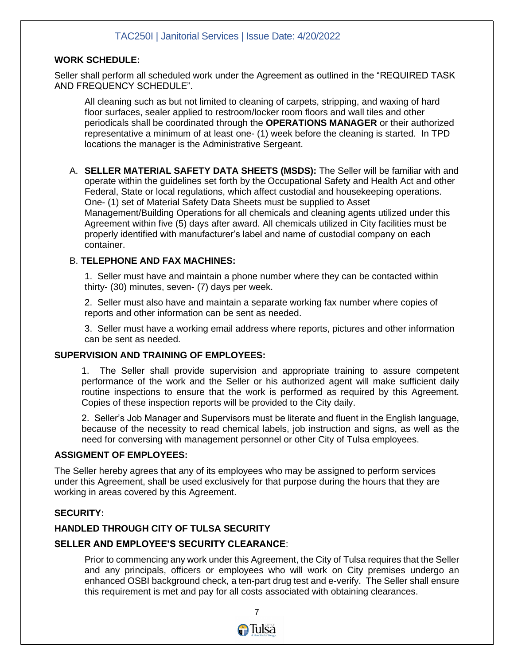#### **WORK SCHEDULE:**

Seller shall perform all scheduled work under the Agreement as outlined in the "REQUIRED TASK AND FREQUENCY SCHEDULE".

All cleaning such as but not limited to cleaning of carpets, stripping, and waxing of hard floor surfaces, sealer applied to restroom/locker room floors and wall tiles and other periodicals shall be coordinated through the **OPERATIONS MANAGER** or their authorized representative a minimum of at least one- (1) week before the cleaning is started. In TPD locations the manager is the Administrative Sergeant.

A. **SELLER MATERIAL SAFETY DATA SHEETS (MSDS):** The Seller will be familiar with and operate within the guidelines set forth by the Occupational Safety and Health Act and other Federal, State or local regulations, which affect custodial and housekeeping operations. One- (1) set of Material Safety Data Sheets must be supplied to Asset Management/Building Operations for all chemicals and cleaning agents utilized under this Agreement within five (5) days after award. All chemicals utilized in City facilities must be properly identified with manufacturer's label and name of custodial company on each container.

#### B. **TELEPHONE AND FAX MACHINES:**

1. Seller must have and maintain a phone number where they can be contacted within thirty- (30) minutes, seven- (7) days per week.

2. Seller must also have and maintain a separate working fax number where copies of reports and other information can be sent as needed.

3. Seller must have a working email address where reports, pictures and other information can be sent as needed.

#### **SUPERVISION AND TRAINING OF EMPLOYEES:**

1. The Seller shall provide supervision and appropriate training to assure competent performance of the work and the Seller or his authorized agent will make sufficient daily routine inspections to ensure that the work is performed as required by this Agreement. Copies of these inspection reports will be provided to the City daily.

2. Seller's Job Manager and Supervisors must be literate and fluent in the English language, because of the necessity to read chemical labels, job instruction and signs, as well as the need for conversing with management personnel or other City of Tulsa employees.

#### **ASSIGMENT OF EMPLOYEES:**

The Seller hereby agrees that any of its employees who may be assigned to perform services under this Agreement, shall be used exclusively for that purpose during the hours that they are working in areas covered by this Agreement.

#### **SECURITY:**

#### **HANDLED THROUGH CITY OF TULSA SECURITY**

#### **SELLER AND EMPLOYEE'S SECURITY CLEARANCE**:

Prior to commencing any work under this Agreement, the City of Tulsa requires that the Seller and any principals, officers or employees who will work on City premises undergo an enhanced OSBI background check, a ten-part drug test and e-verify. The Seller shall ensure this requirement is met and pay for all costs associated with obtaining clearances.

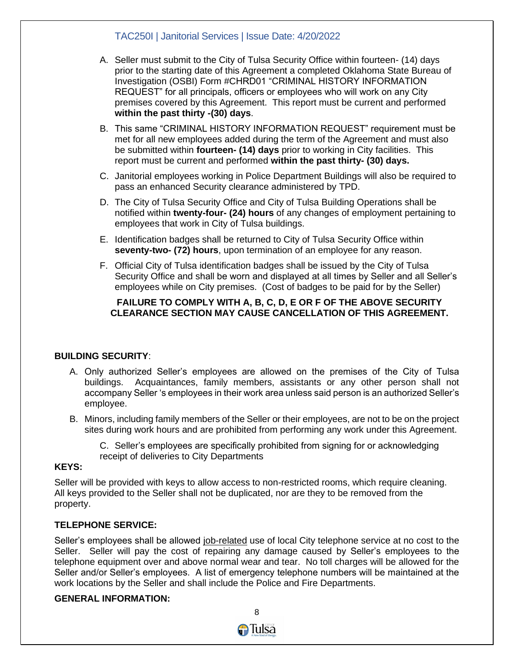- A. Seller must submit to the City of Tulsa Security Office within fourteen- (14) days prior to the starting date of this Agreement a completed Oklahoma State Bureau of Investigation (OSBI) Form #CHRD01 "CRIMINAL HISTORY INFORMATION REQUEST" for all principals, officers or employees who will work on any City premises covered by this Agreement. This report must be current and performed **within the past thirty -(30) days**.
- B. This same "CRIMINAL HISTORY INFORMATION REQUEST" requirement must be met for all new employees added during the term of the Agreement and must also be submitted within **fourteen- (14) days** prior to working in City facilities. This report must be current and performed **within the past thirty- (30) days.**
- C. Janitorial employees working in Police Department Buildings will also be required to pass an enhanced Security clearance administered by TPD.
- D. The City of Tulsa Security Office and City of Tulsa Building Operations shall be notified within **twenty-four- (24) hours** of any changes of employment pertaining to employees that work in City of Tulsa buildings.
- E. Identification badges shall be returned to City of Tulsa Security Office within **seventy-two- (72) hours**, upon termination of an employee for any reason.
- F. Official City of Tulsa identification badges shall be issued by the City of Tulsa Security Office and shall be worn and displayed at all times by Seller and all Seller's employees while on City premises. (Cost of badges to be paid for by the Seller)

#### **FAILURE TO COMPLY WITH A, B, C, D, E OR F OF THE ABOVE SECURITY CLEARANCE SECTION MAY CAUSE CANCELLATION OF THIS AGREEMENT.**

#### **BUILDING SECURITY**:

- A. Only authorized Seller's employees are allowed on the premises of the City of Tulsa buildings. Acquaintances, family members, assistants or any other person shall not accompany Seller 's employees in their work area unless said person is an authorized Seller's employee.
- B. Minors, including family members of the Seller or their employees, are not to be on the project sites during work hours and are prohibited from performing any work under this Agreement.

C. Seller's employees are specifically prohibited from signing for or acknowledging receipt of deliveries to City Departments

#### **KEYS:**

Seller will be provided with keys to allow access to non-restricted rooms, which require cleaning. All keys provided to the Seller shall not be duplicated, nor are they to be removed from the property.

#### **TELEPHONE SERVICE:**

Seller's employees shall be allowed job-related use of local City telephone service at no cost to the Seller. Seller will pay the cost of repairing any damage caused by Seller's employees to the telephone equipment over and above normal wear and tear. No toll charges will be allowed for the Seller and/or Seller's employees. A list of emergency telephone numbers will be maintained at the work locations by the Seller and shall include the Police and Fire Departments.

#### **GENERAL INFORMATION:**

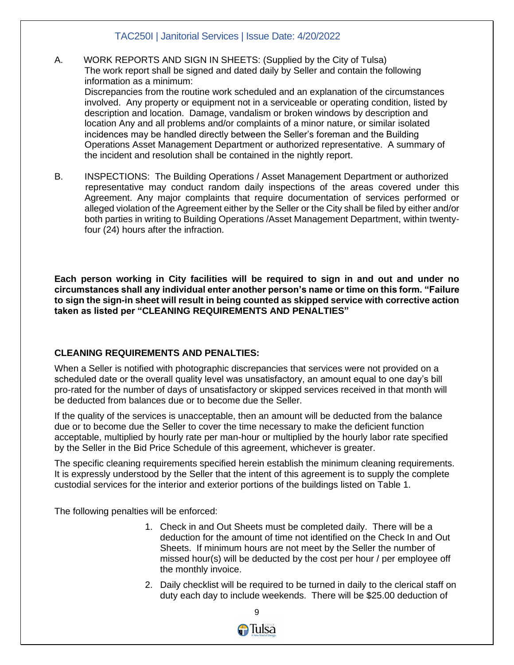- A. WORK REPORTS AND SIGN IN SHEETS: (Supplied by the City of Tulsa) The work report shall be signed and dated daily by Seller and contain the following information as a minimum: Discrepancies from the routine work scheduled and an explanation of the circumstances involved. Any property or equipment not in a serviceable or operating condition, listed by description and location. Damage, vandalism or broken windows by description and location Any and all problems and/or complaints of a minor nature, or similar isolated incidences may be handled directly between the Seller's foreman and the Building Operations Asset Management Department or authorized representative. A summary of the incident and resolution shall be contained in the nightly report.
- B.INSPECTIONS:The Building Operations / Asset Management Department or authorized representative may conduct random daily inspections of the areas covered under this Agreement. Any major complaints that require documentation of services performed or alleged violation of the Agreement either by the Seller or the City shall be filed by either and/or both parties in writing to Building Operations /Asset Management Department, within twentyfour (24) hours after the infraction.

**Each person working in City facilities will be required to sign in and out and under no circumstances shall any individual enter another person's name or time on this form. "Failure to sign the sign-in sheet will result in being counted as skipped service with corrective action taken as listed per "CLEANING REQUIREMENTS AND PENALTIES"**

#### **CLEANING REQUIREMENTS AND PENALTIES:**

When a Seller is notified with photographic discrepancies that services were not provided on a scheduled date or the overall quality level was unsatisfactory, an amount equal to one day's bill pro-rated for the number of days of unsatisfactory or skipped services received in that month will be deducted from balances due or to become due the Seller.

If the quality of the services is unacceptable, then an amount will be deducted from the balance due or to become due the Seller to cover the time necessary to make the deficient function acceptable, multiplied by hourly rate per man-hour or multiplied by the hourly labor rate specified by the Seller in the Bid Price Schedule of this agreement, whichever is greater.

The specific cleaning requirements specified herein establish the minimum cleaning requirements. It is expressly understood by the Seller that the intent of this agreement is to supply the complete custodial services for the interior and exterior portions of the buildings listed on Table 1.

The following penalties will be enforced:

- 1. Check in and Out Sheets must be completed daily. There will be a deduction for the amount of time not identified on the Check In and Out Sheets. If minimum hours are not meet by the Seller the number of missed hour(s) will be deducted by the cost per hour / per employee off the monthly invoice.
- 2. Daily checklist will be required to be turned in daily to the clerical staff on duty each day to include weekends. There will be \$25.00 deduction of

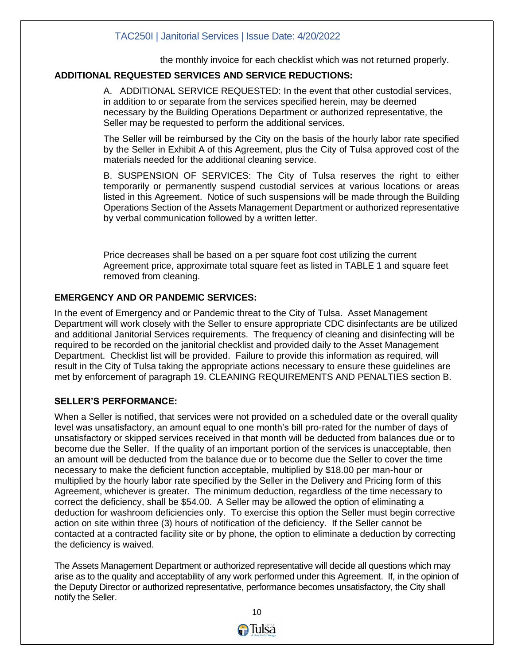the monthly invoice for each checklist which was not returned properly.

#### **ADDITIONAL REQUESTED SERVICES AND SERVICE REDUCTIONS:**

A. ADDITIONAL SERVICE REQUESTED: In the event that other custodial services, in addition to or separate from the services specified herein, may be deemed necessary by the Building Operations Department or authorized representative, the Seller may be requested to perform the additional services.

The Seller will be reimbursed by the City on the basis of the hourly labor rate specified by the Seller in Exhibit A of this Agreement, plus the City of Tulsa approved cost of the materials needed for the additional cleaning service.

B. SUSPENSION OF SERVICES: The City of Tulsa reserves the right to either temporarily or permanently suspend custodial services at various locations or areas listed in this Agreement. Notice of such suspensions will be made through the Building Operations Section of the Assets Management Department or authorized representative by verbal communication followed by a written letter.

Price decreases shall be based on a per square foot cost utilizing the current Agreement price, approximate total square feet as listed in TABLE 1 and square feet removed from cleaning.

#### **EMERGENCY AND OR PANDEMIC SERVICES:**

In the event of Emergency and or Pandemic threat to the City of Tulsa. Asset Management Department will work closely with the Seller to ensure appropriate CDC disinfectants are be utilized and additional Janitorial Services requirements. The frequency of cleaning and disinfecting will be required to be recorded on the janitorial checklist and provided daily to the Asset Management Department. Checklist list will be provided. Failure to provide this information as required, will result in the City of Tulsa taking the appropriate actions necessary to ensure these guidelines are met by enforcement of paragraph 19. CLEANING REQUIREMENTS AND PENALTIES section B.

#### **SELLER'S PERFORMANCE:**

When a Seller is notified, that services were not provided on a scheduled date or the overall quality level was unsatisfactory, an amount equal to one month's bill pro-rated for the number of days of unsatisfactory or skipped services received in that month will be deducted from balances due or to become due the Seller. If the quality of an important portion of the services is unacceptable, then an amount will be deducted from the balance due or to become due the Seller to cover the time necessary to make the deficient function acceptable, multiplied by \$18.00 per man-hour or multiplied by the hourly labor rate specified by the Seller in the Delivery and Pricing form of this Agreement, whichever is greater. The minimum deduction, regardless of the time necessary to correct the deficiency, shall be \$54.00. A Seller may be allowed the option of eliminating a deduction for washroom deficiencies only. To exercise this option the Seller must begin corrective action on site within three (3) hours of notification of the deficiency. If the Seller cannot be contacted at a contracted facility site or by phone, the option to eliminate a deduction by correcting the deficiency is waived.

The Assets Management Department or authorized representative will decide all questions which may arise as to the quality and acceptability of any work performed under this Agreement. If, in the opinion of the Deputy Director or authorized representative, performance becomes unsatisfactory, the City shall notify the Seller.

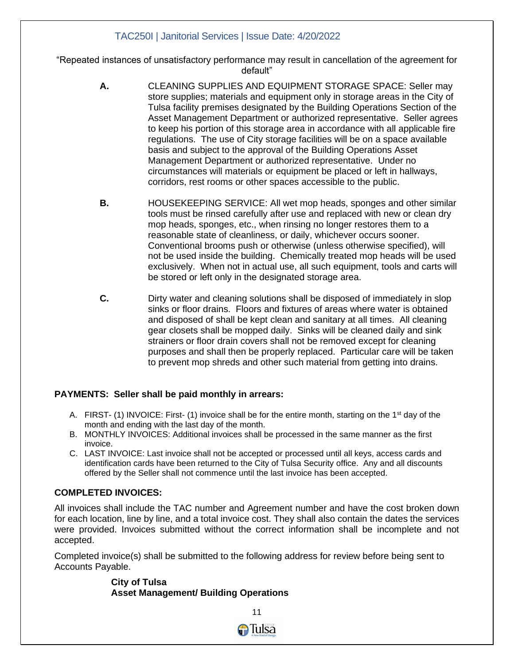"Repeated instances of unsatisfactory performance may result in cancellation of the agreement for default"

- **A.** CLEANING SUPPLIES AND EQUIPMENT STORAGE SPACE: Seller may store supplies; materials and equipment only in storage areas in the City of Tulsa facility premises designated by the Building Operations Section of the Asset Management Department or authorized representative. Seller agrees to keep his portion of this storage area in accordance with all applicable fire regulations. The use of City storage facilities will be on a space available basis and subject to the approval of the Building Operations Asset Management Department or authorized representative. Under no circumstances will materials or equipment be placed or left in hallways, corridors, rest rooms or other spaces accessible to the public.
- **B.** HOUSEKEEPING SERVICE: All wet mop heads, sponges and other similar tools must be rinsed carefully after use and replaced with new or clean dry mop heads, sponges, etc., when rinsing no longer restores them to a reasonable state of cleanliness, or daily, whichever occurs sooner. Conventional brooms push or otherwise (unless otherwise specified), will not be used inside the building. Chemically treated mop heads will be used exclusively. When not in actual use, all such equipment, tools and carts will be stored or left only in the designated storage area.
- **C.** Dirty water and cleaning solutions shall be disposed of immediately in slop sinks or floor drains. Floors and fixtures of areas where water is obtained and disposed of shall be kept clean and sanitary at all times. All cleaning gear closets shall be mopped daily. Sinks will be cleaned daily and sink strainers or floor drain covers shall not be removed except for cleaning purposes and shall then be properly replaced. Particular care will be taken to prevent mop shreds and other such material from getting into drains.

#### **PAYMENTS: Seller shall be paid monthly in arrears:**

- A. FIRST- (1) INVOICE: First- (1) invoice shall be for the entire month, starting on the 1<sup>st</sup> day of the month and ending with the last day of the month.
- B. MONTHLY INVOICES: Additional invoices shall be processed in the same manner as the first invoice.
- C. LAST INVOICE: Last invoice shall not be accepted or processed until all keys, access cards and identification cards have been returned to the City of Tulsa Security office. Any and all discounts offered by the Seller shall not commence until the last invoice has been accepted.

### **COMPLETED INVOICES:**

All invoices shall include the TAC number and Agreement number and have the cost broken down for each location, line by line, and a total invoice cost. They shall also contain the dates the services were provided. Invoices submitted without the correct information shall be incomplete and not accepted.

Completed invoice(s) shall be submitted to the following address for review before being sent to Accounts Payable.

#### **City of Tulsa Asset Management/ Building Operations**

 $11$ 

GTulsa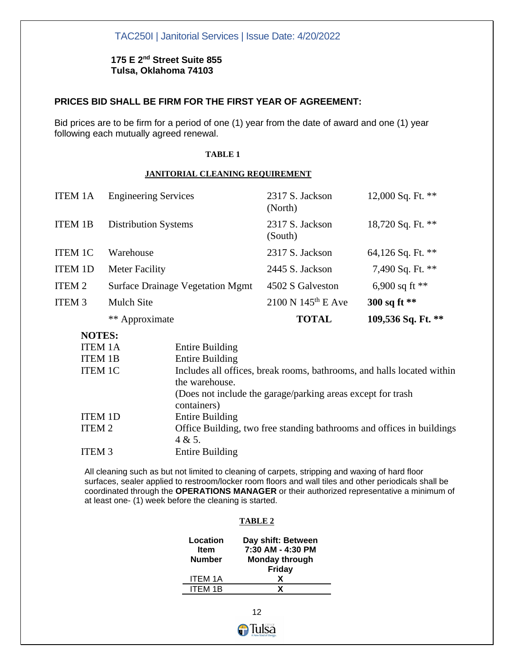#### **175 E 2nd Street Suite 855 Tulsa, Oklahoma 74103**

#### **PRICES BID SHALL BE FIRM FOR THE FIRST YEAR OF AGREEMENT:**

Bid prices are to be firm for a period of one (1) year from the date of award and one (1) year following each mutually agreed renewal.

#### **TABLE 1**

#### **JANITORIAL CLEANING REQUIREMENT**

| ITEM <sub>3</sub> | <b>Mulch Site</b><br>** Approximate     | $2100 \text{ N} 145^{\text{th}}$ E Ave<br><b>TOTAL</b> | 300 sq ft **<br>109,536 Sq. Ft. ** |
|-------------------|-----------------------------------------|--------------------------------------------------------|------------------------------------|
| ITEM 2            | <b>Surface Drainage Vegetation Mgmt</b> | 4502 S Galveston                                       | 6,900 sq ft $**$                   |
| <b>ITEM 1D</b>    | <b>Meter Facility</b>                   | 2445 S. Jackson                                        | 7,490 Sq. Ft. **                   |
| <b>ITEM 1C</b>    | Warehouse                               | 2317 S. Jackson                                        | 64,126 Sq. Ft. **                  |
| <b>ITEM 1B</b>    | <b>Distribution Systems</b>             | 2317 S. Jackson<br>(South)                             | 18,720 Sq. Ft. **                  |
| <b>ITEM 1A</b>    | <b>Engineering Services</b>             | 2317 S. Jackson<br>(North)                             | 12,000 Sq. Ft. **                  |

#### **NOTES:**

| 11VILDJ.          |                                                                        |
|-------------------|------------------------------------------------------------------------|
| <b>ITEM 1A</b>    | <b>Entire Building</b>                                                 |
| <b>ITEM 1B</b>    | <b>Entire Building</b>                                                 |
| <b>ITEM 1C</b>    | Includes all offices, break rooms, bathrooms, and halls located within |
|                   | the warehouse.                                                         |
|                   | (Does not include the garage/parking areas except for trash            |
|                   | containers)                                                            |
| <b>ITEM 1D</b>    | <b>Entire Building</b>                                                 |
| ITEM <sub>2</sub> | Office Building, two free standing bathrooms and offices in buildings  |
|                   | 4 & 5.                                                                 |
| <b>ITEM 3</b>     | <b>Entire Building</b>                                                 |
|                   |                                                                        |

All cleaning such as but not limited to cleaning of carpets, stripping and waxing of hard floor surfaces, sealer applied to restroom/locker room floors and wall tiles and other periodicals shall be coordinated through the **OPERATIONS MANAGER** or their authorized representative a minimum of at least one- (1) week before the cleaning is started.

#### **TABLE 2**

| Day shift: Between<br>7:30 AM - 4:30 PM |
|-----------------------------------------|
| <b>Monday through</b><br>Friday         |
|                                         |
| x                                       |
| x                                       |
|                                         |

 $12$ GTulsa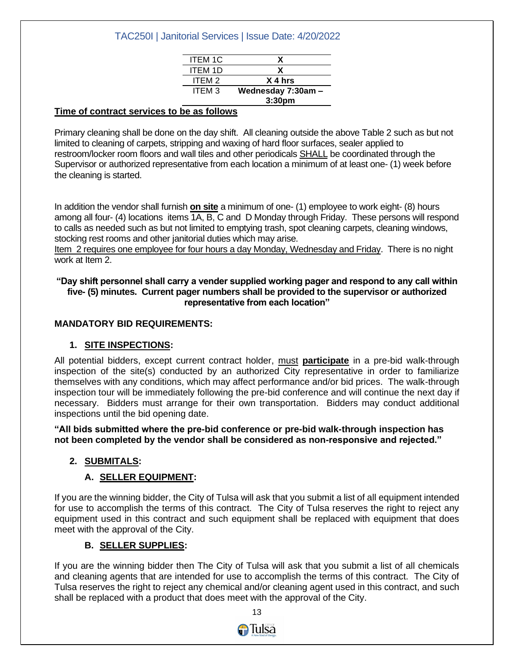| <b>ITEM 1C</b>    | x                  |
|-------------------|--------------------|
| <b>ITEM 1D</b>    | x                  |
| ITEM <sub>2</sub> | X 4 hrs            |
| ITEM 3            | Wednesday 7:30am - |
|                   | 3:30 <sub>pm</sub> |

#### **Time of contract services to be as follows**

Primary cleaning shall be done on the day shift. All cleaning outside the above Table 2 such as but not limited to cleaning of carpets, stripping and waxing of hard floor surfaces, sealer applied to restroom/locker room floors and wall tiles and other periodicals SHALL be coordinated through the Supervisor or authorized representative from each location a minimum of at least one- (1) week before the cleaning is started.

In addition the vendor shall furnish **on site** a minimum of one- (1) employee to work eight- (8) hours among all four- (4) locations items 1A, B, C and D Monday through Friday. These persons will respond to calls as needed such as but not limited to emptying trash, spot cleaning carpets, cleaning windows, stocking rest rooms and other janitorial duties which may arise.

Item 2 requires one employee for four hours a day Monday, Wednesday and Friday. There is no night work at Item 2.

#### **"Day shift personnel shall carry a vender supplied working pager and respond to any call within five- (5) minutes. Current pager numbers shall be provided to the supervisor or authorized representative from each location"**

#### **MANDATORY BID REQUIREMENTS:**

#### **1. SITE INSPECTIONS:**

All potential bidders, except current contract holder, must **participate** in a pre-bid walk-through inspection of the site(s) conducted by an authorized City representative in order to familiarize themselves with any conditions, which may affect performance and/or bid prices. The walk-through inspection tour will be immediately following the pre-bid conference and will continue the next day if necessary. Bidders must arrange for their own transportation. Bidders may conduct additional inspections until the bid opening date.

**"All bids submitted where the pre-bid conference or pre-bid walk-through inspection has not been completed by the vendor shall be considered as non-responsive and rejected."**

#### **2. SUBMITALS:**

#### **A. SELLER EQUIPMENT:**

If you are the winning bidder, the City of Tulsa will ask that you submit a list of all equipment intended for use to accomplish the terms of this contract. The City of Tulsa reserves the right to reject any equipment used in this contract and such equipment shall be replaced with equipment that does meet with the approval of the City.

#### **B. SELLER SUPPLIES:**

If you are the winning bidder then The City of Tulsa will ask that you submit a list of all chemicals and cleaning agents that are intended for use to accomplish the terms of this contract. The City of Tulsa reserves the right to reject any chemical and/or cleaning agent used in this contract, and such shall be replaced with a product that does meet with the approval of the City.

 $13$ 

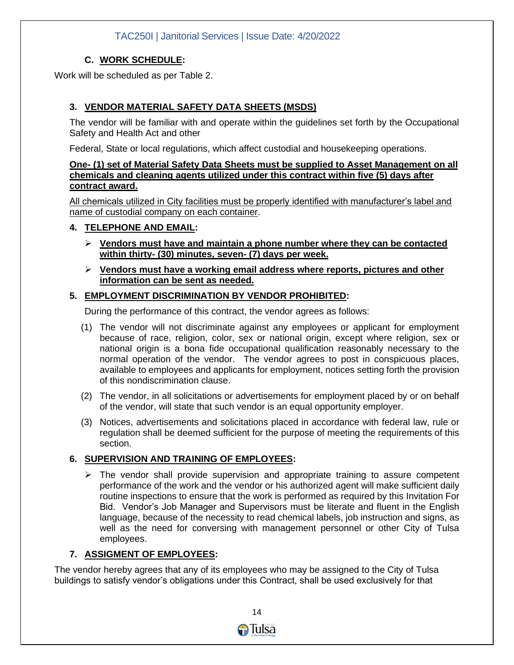#### **C. WORK SCHEDULE:**

Work will be scheduled as per Table 2.

#### **3. VENDOR MATERIAL SAFETY DATA SHEETS (MSDS)**

The vendor will be familiar with and operate within the guidelines set forth by the Occupational Safety and Health Act and other

Federal, State or local regulations, which affect custodial and housekeeping operations.

#### **One- (1) set of Material Safety Data Sheets must be supplied to Asset Management on all chemicals and cleaning agents utilized under this contract within five (5) days after contract award.**

All chemicals utilized in City facilities must be properly identified with manufacturer's label and name of custodial company on each container.

#### **4. TELEPHONE AND EMAIL:**

- ➢ **Vendors must have and maintain a phone number where they can be contacted within thirty- (30) minutes, seven- (7) days per week.**
- ➢ **Vendors must have a working email address where reports, pictures and other information can be sent as needed.**

#### **5. EMPLOYMENT DISCRIMINATION BY VENDOR PROHIBITED:**

During the performance of this contract, the vendor agrees as follows:

- (1) The vendor will not discriminate against any employees or applicant for employment because of race, religion, color, sex or national origin, except where religion, sex or national origin is a bona fide occupational qualification reasonably necessary to the normal operation of the vendor. The vendor agrees to post in conspicuous places, available to employees and applicants for employment, notices setting forth the provision of this nondiscrimination clause.
- (2) The vendor, in all solicitations or advertisements for employment placed by or on behalf of the vendor, will state that such vendor is an equal opportunity employer.
- (3) Notices, advertisements and solicitations placed in accordance with federal law, rule or regulation shall be deemed sufficient for the purpose of meeting the requirements of this section.

#### **6. SUPERVISION AND TRAINING OF EMPLOYEES:**

 $\triangleright$  The vendor shall provide supervision and appropriate training to assure competent performance of the work and the vendor or his authorized agent will make sufficient daily routine inspections to ensure that the work is performed as required by this Invitation For Bid. Vendor's Job Manager and Supervisors must be literate and fluent in the English language, because of the necessity to read chemical labels, job instruction and signs, as well as the need for conversing with management personnel or other City of Tulsa employees.

#### **7. ASSIGMENT OF EMPLOYEES:**

The vendor hereby agrees that any of its employees who may be assigned to the City of Tulsa buildings to satisfy vendor's obligations under this Contract, shall be used exclusively for that

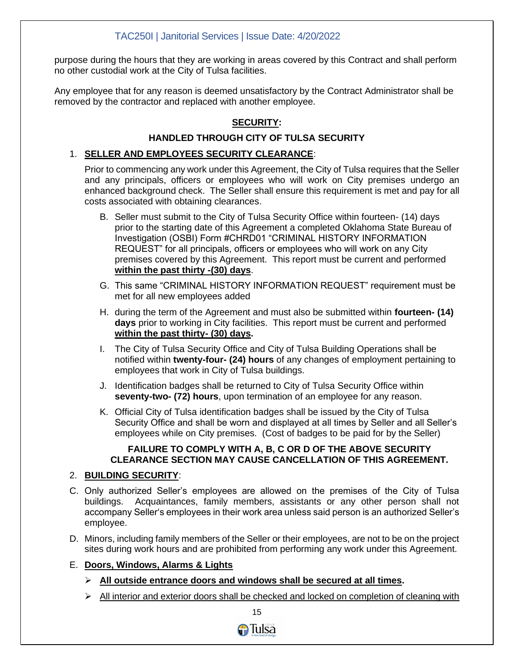purpose during the hours that they are working in areas covered by this Contract and shall perform no other custodial work at the City of Tulsa facilities.

Any employee that for any reason is deemed unsatisfactory by the Contract Administrator shall be removed by the contractor and replaced with another employee.

#### **SECURITY:**

#### **HANDLED THROUGH CITY OF TULSA SECURITY**

#### 1. **SELLER AND EMPLOYEES SECURITY CLEARANCE**:

Prior to commencing any work under this Agreement, the City of Tulsa requires that the Seller and any principals, officers or employees who will work on City premises undergo an enhanced background check. The Seller shall ensure this requirement is met and pay for all costs associated with obtaining clearances.

- B. Seller must submit to the City of Tulsa Security Office within fourteen- (14) days prior to the starting date of this Agreement a completed Oklahoma State Bureau of Investigation (OSBI) Form #CHRD01 "CRIMINAL HISTORY INFORMATION REQUEST" for all principals, officers or employees who will work on any City premises covered by this Agreement. This report must be current and performed **within the past thirty -(30) days**.
- G. This same "CRIMINAL HISTORY INFORMATION REQUEST" requirement must be met for all new employees added
- H. during the term of the Agreement and must also be submitted within **fourteen- (14) days** prior to working in City facilities. This report must be current and performed **within the past thirty- (30) days.**
- I. The City of Tulsa Security Office and City of Tulsa Building Operations shall be notified within **twenty-four- (24) hours** of any changes of employment pertaining to employees that work in City of Tulsa buildings.
- J. Identification badges shall be returned to City of Tulsa Security Office within **seventy-two- (72) hours**, upon termination of an employee for any reason.
- K. Official City of Tulsa identification badges shall be issued by the City of Tulsa Security Office and shall be worn and displayed at all times by Seller and all Seller's employees while on City premises. (Cost of badges to be paid for by the Seller)

#### **FAILURE TO COMPLY WITH A, B, C OR D OF THE ABOVE SECURITY CLEARANCE SECTION MAY CAUSE CANCELLATION OF THIS AGREEMENT.**

#### 2. **BUILDING SECURITY**:

- C. Only authorized Seller's employees are allowed on the premises of the City of Tulsa buildings. Acquaintances, family members, assistants or any other person shall not accompany Seller's employees in their work area unless said person is an authorized Seller's employee.
- D. Minors, including family members of the Seller or their employees, are not to be on the project sites during work hours and are prohibited from performing any work under this Agreement.
- E. **Doors, Windows, Alarms & Lights**
	- ➢ **All outside entrance doors and windows shall be secured at all times.**
	- $\triangleright$  All interior and exterior doors shall be checked and locked on completion of cleaning with

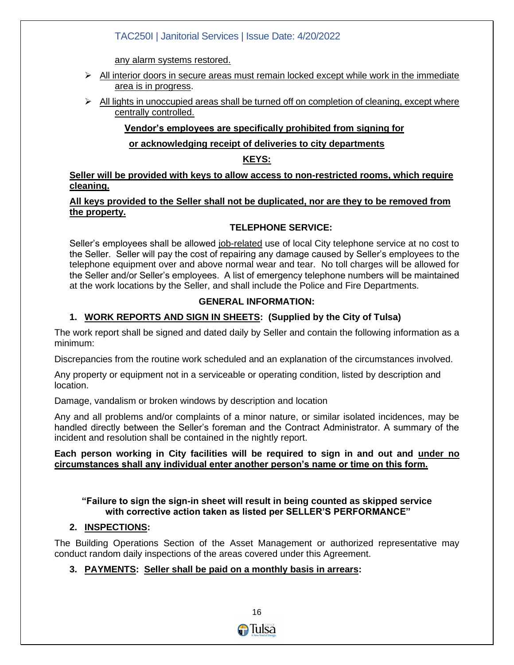any alarm systems restored.

- $\triangleright$  All interior doors in secure areas must remain locked except while work in the immediate area is in progress.
- $\triangleright$  All lights in unoccupied areas shall be turned off on completion of cleaning, except where centrally controlled.

#### **Vendor's employees are specifically prohibited from signing for**

#### **or acknowledging receipt of deliveries to city departments**

#### **KEYS:**

**Seller will be provided with keys to allow access to non-restricted rooms, which require cleaning.**

#### **All keys provided to the Seller shall not be duplicated, nor are they to be removed from the property.**

#### **TELEPHONE SERVICE:**

Seller's employees shall be allowed job-related use of local City telephone service at no cost to the Seller. Seller will pay the cost of repairing any damage caused by Seller's employees to the telephone equipment over and above normal wear and tear. No toll charges will be allowed for the Seller and/or Seller's employees. A list of emergency telephone numbers will be maintained at the work locations by the Seller, and shall include the Police and Fire Departments.

#### **GENERAL INFORMATION:**

#### **1. WORK REPORTS AND SIGN IN SHEETS: (Supplied by the City of Tulsa)**

The work report shall be signed and dated daily by Seller and contain the following information as a minimum:

Discrepancies from the routine work scheduled and an explanation of the circumstances involved.

Any property or equipment not in a serviceable or operating condition, listed by description and location.

Damage, vandalism or broken windows by description and location

Any and all problems and/or complaints of a minor nature, or similar isolated incidences, may be handled directly between the Seller's foreman and the Contract Administrator. A summary of the incident and resolution shall be contained in the nightly report.

#### **Each person working in City facilities will be required to sign in and out and under no circumstances shall any individual enter another person's name or time on this form.**

**"Failure to sign the sign-in sheet will result in being counted as skipped service with corrective action taken as listed per SELLER'S PERFORMANCE"**

#### **2. INSPECTIONS:**

The Building Operations Section of the Asset Management or authorized representative may conduct random daily inspections of the areas covered under this Agreement.

#### **3. PAYMENTS: Seller shall be paid on a monthly basis in arrears:**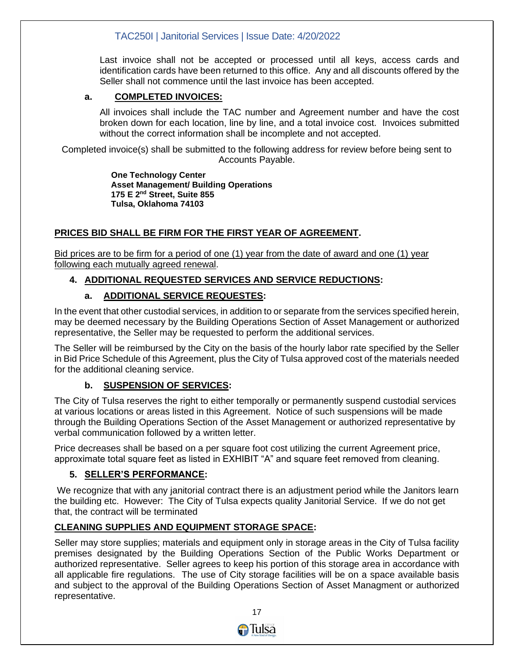Last invoice shall not be accepted or processed until all keys, access cards and identification cards have been returned to this office. Any and all discounts offered by the Seller shall not commence until the last invoice has been accepted.

#### **a. COMPLETED INVOICES:**

All invoices shall include the TAC number and Agreement number and have the cost broken down for each location, line by line, and a total invoice cost. Invoices submitted without the correct information shall be incomplete and not accepted.

Completed invoice(s) shall be submitted to the following address for review before being sent to Accounts Payable.

> **One Technology Center Asset Management/ Building Operations 175 E 2nd Street, Suite 855 Tulsa, Oklahoma 74103**

#### **PRICES BID SHALL BE FIRM FOR THE FIRST YEAR OF AGREEMENT.**

Bid prices are to be firm for a period of one (1) year from the date of award and one (1) year following each mutually agreed renewal.

#### **4. ADDITIONAL REQUESTED SERVICES AND SERVICE REDUCTIONS:**

#### **a. ADDITIONAL SERVICE REQUESTES:**

In the event that other custodial services, in addition to or separate from the services specified herein, may be deemed necessary by the Building Operations Section of Asset Management or authorized representative, the Seller may be requested to perform the additional services.

The Seller will be reimbursed by the City on the basis of the hourly labor rate specified by the Seller in Bid Price Schedule of this Agreement, plus the City of Tulsa approved cost of the materials needed for the additional cleaning service.

#### **b. SUSPENSION OF SERVICES:**

The City of Tulsa reserves the right to either temporally or permanently suspend custodial services at various locations or areas listed in this Agreement. Notice of such suspensions will be made through the Building Operations Section of the Asset Management or authorized representative by verbal communication followed by a written letter.

Price decreases shall be based on a per square foot cost utilizing the current Agreement price, approximate total square feet as listed in EXHIBIT "A" and square feet removed from cleaning.

#### **5. SELLER'S PERFORMANCE:**

We recognize that with any janitorial contract there is an adjustment period while the Janitors learn the building etc. However: The City of Tulsa expects quality Janitorial Service. If we do not get that, the contract will be terminated

#### **CLEANING SUPPLIES AND EQUIPMENT STORAGE SPACE:**

Seller may store supplies; materials and equipment only in storage areas in the City of Tulsa facility premises designated by the Building Operations Section of the Public Works Department or authorized representative. Seller agrees to keep his portion of this storage area in accordance with all applicable fire regulations. The use of City storage facilities will be on a space available basis and subject to the approval of the Building Operations Section of Asset Managment or authorized representative.

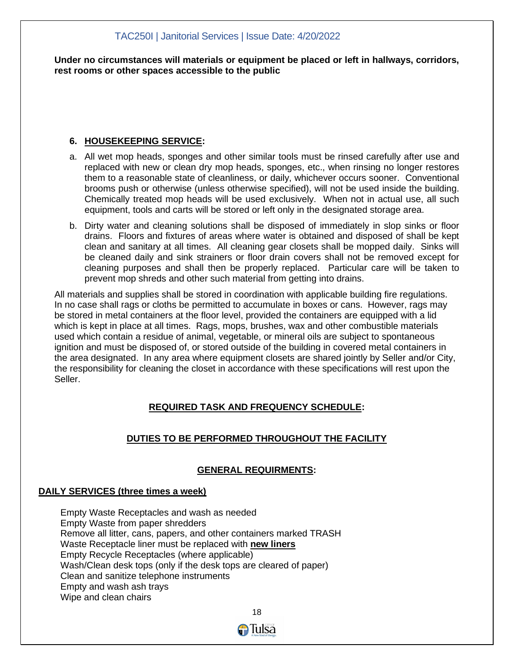**Under no circumstances will materials or equipment be placed or left in hallways, corridors, rest rooms or other spaces accessible to the public**

#### **6. HOUSEKEEPING SERVICE:**

- a. All wet mop heads, sponges and other similar tools must be rinsed carefully after use and replaced with new or clean dry mop heads, sponges, etc., when rinsing no longer restores them to a reasonable state of cleanliness, or daily, whichever occurs sooner. Conventional brooms push or otherwise (unless otherwise specified), will not be used inside the building. Chemically treated mop heads will be used exclusively. When not in actual use, all such equipment, tools and carts will be stored or left only in the designated storage area.
- b. Dirty water and cleaning solutions shall be disposed of immediately in slop sinks or floor drains. Floors and fixtures of areas where water is obtained and disposed of shall be kept clean and sanitary at all times. All cleaning gear closets shall be mopped daily. Sinks will be cleaned daily and sink strainers or floor drain covers shall not be removed except for cleaning purposes and shall then be properly replaced. Particular care will be taken to prevent mop shreds and other such material from getting into drains.

All materials and supplies shall be stored in coordination with applicable building fire regulations. In no case shall rags or cloths be permitted to accumulate in boxes or cans. However, rags may be stored in metal containers at the floor level, provided the containers are equipped with a lid which is kept in place at all times. Rags, mops, brushes, wax and other combustible materials used which contain a residue of animal, vegetable, or mineral oils are subject to spontaneous ignition and must be disposed of, or stored outside of the building in covered metal containers in the area designated. In any area where equipment closets are shared jointly by Seller and/or City, the responsibility for cleaning the closet in accordance with these specifications will rest upon the Seller.

#### **REQUIRED TASK AND FREQUENCY SCHEDULE:**

#### **DUTIES TO BE PERFORMED THROUGHOUT THE FACILITY**

#### **GENERAL REQUIRMENTS:**

#### **DAILY SERVICES (three times a week)**

Empty Waste Receptacles and wash as needed Empty Waste from paper shredders Remove all litter, cans, papers, and other containers marked TRASH Waste Receptacle liner must be replaced with **new liners** Empty Recycle Receptacles (where applicable) Wash/Clean desk tops (only if the desk tops are cleared of paper) Clean and sanitize telephone instruments Empty and wash ash trays Wipe and clean chairs

 $18$ 

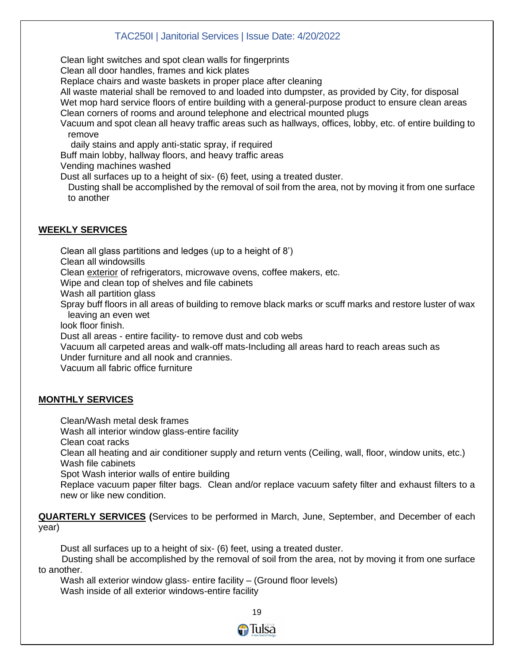Clean light switches and spot clean walls for fingerprints

Clean all door handles, frames and kick plates

Replace chairs and waste baskets in proper place after cleaning

All waste material shall be removed to and loaded into dumpster, as provided by City, for disposal Wet mop hard service floors of entire building with a general-purpose product to ensure clean areas Clean corners of rooms and around telephone and electrical mounted plugs

Vacuum and spot clean all heavy traffic areas such as hallways, offices, lobby, etc. of entire building to remove

daily stains and apply anti-static spray, if required

Buff main lobby, hallway floors, and heavy traffic areas

Vending machines washed

Dust all surfaces up to a height of six- (6) feet, using a treated duster.

 Dusting shall be accomplished by the removal of soil from the area, not by moving it from one surface to another

### **WEEKLY SERVICES**

Clean all glass partitions and ledges (up to a height of 8') Clean all windowsills Clean exterior of refrigerators, microwave ovens, coffee makers, etc. Wipe and clean top of shelves and file cabinets Wash all partition glass Spray buff floors in all areas of building to remove black marks or scuff marks and restore luster of wax leaving an even wet look floor finish. Dust all areas - entire facility- to remove dust and cob webs Vacuum all carpeted areas and walk-off mats-Including all areas hard to reach areas such as Under furniture and all nook and crannies.

Vacuum all fabric office furniture

#### **MONTHLY SERVICES**

Clean/Wash metal desk frames

Wash all interior window glass-entire facility

Clean coat racks

Clean all heating and air conditioner supply and return vents (Ceiling, wall, floor, window units, etc.) Wash file cabinets

Spot Wash interior walls of entire building

Replace vacuum paper filter bags. Clean and/or replace vacuum safety filter and exhaust filters to a new or like new condition.

**QUARTERLY SERVICES (**Services to be performed in March, June, September, and December of each year)

Dust all surfaces up to a height of six- (6) feet, using a treated duster.

 Dusting shall be accomplished by the removal of soil from the area, not by moving it from one surface to another.

Wash all exterior window glass- entire facility – (Ground floor levels) Wash inside of all exterior windows-entire facility

the contract of the contract of the contract of the contract of the contract of the contract of the contract o

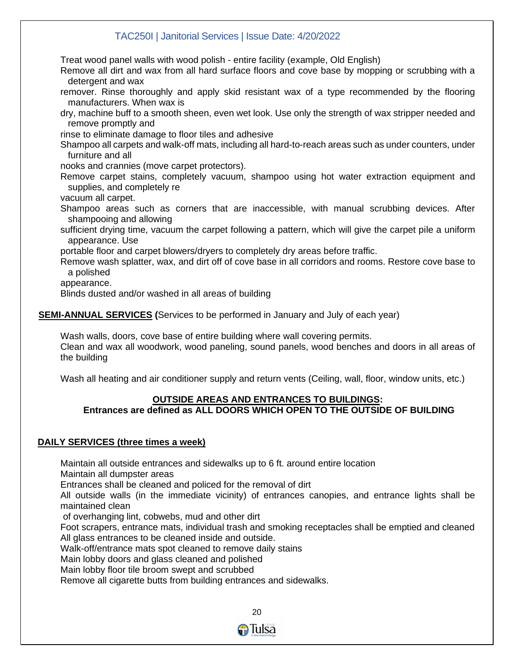Treat wood panel walls with wood polish - entire facility (example, Old English)

Remove all dirt and wax from all hard surface floors and cove base by mopping or scrubbing with a detergent and wax

remover. Rinse thoroughly and apply skid resistant wax of a type recommended by the flooring manufacturers. When wax is

dry, machine buff to a smooth sheen, even wet look. Use only the strength of wax stripper needed and remove promptly and

rinse to eliminate damage to floor tiles and adhesive

Shampoo all carpets and walk-off mats, including all hard-to-reach areas such as under counters, under furniture and all

nooks and crannies (move carpet protectors).

Remove carpet stains, completely vacuum, shampoo using hot water extraction equipment and supplies, and completely re

vacuum all carpet.

Shampoo areas such as corners that are inaccessible, with manual scrubbing devices. After shampooing and allowing

sufficient drying time, vacuum the carpet following a pattern, which will give the carpet pile a uniform appearance. Use

portable floor and carpet blowers/dryers to completely dry areas before traffic.

Remove wash splatter, wax, and dirt off of cove base in all corridors and rooms. Restore cove base to a polished

appearance.

Blinds dusted and/or washed in all areas of building

**SEMI-ANNUAL SERVICES (**Services to be performed in January and July of each year)

Wash walls, doors, cove base of entire building where wall covering permits. Clean and wax all woodwork, wood paneling, sound panels, wood benches and doors in all areas of the building

Wash all heating and air conditioner supply and return vents (Ceiling, wall, floor, window units, etc.)

## **OUTSIDE AREAS AND ENTRANCES TO BUILDINGS:**

#### **Entrances are defined as ALL DOORS WHICH OPEN TO THE OUTSIDE OF BUILDING**

#### **DAILY SERVICES (three times a week)**

Maintain all outside entrances and sidewalks up to 6 ft. around entire location

Maintain all dumpster areas

Entrances shall be cleaned and policed for the removal of dirt

All outside walls (in the immediate vicinity) of entrances canopies, and entrance lights shall be maintained clean

of overhanging lint, cobwebs, mud and other dirt

Foot scrapers, entrance mats, individual trash and smoking receptacles shall be emptied and cleaned All glass entrances to be cleaned inside and outside.

Walk-off/entrance mats spot cleaned to remove daily stains

Main lobby doors and glass cleaned and polished

Main lobby floor tile broom swept and scrubbed

Remove all cigarette butts from building entrances and sidewalks.

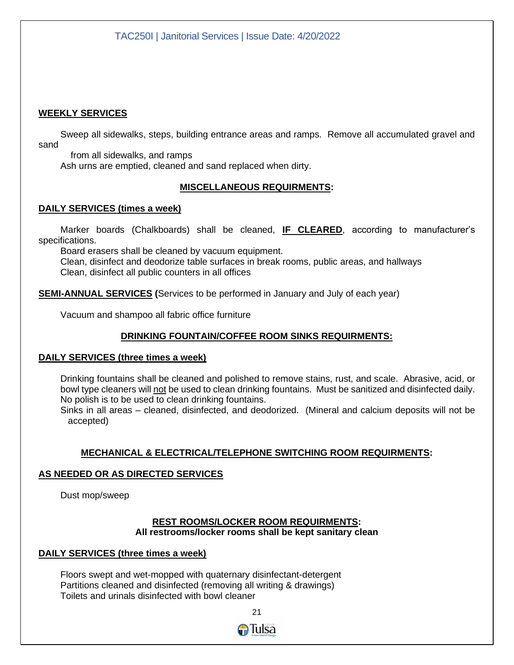#### **WEEKLY SERVICES**

Sweep all sidewalks, steps, building entrance areas and ramps. Remove all accumulated gravel and sand

 from all sidewalks, and ramps Ash urns are emptied, cleaned and sand replaced when dirty.

#### **MISCELLANEOUS REQUIRMENTS:**

#### **DAILY SERVICES (times a week)**

Marker boards (Chalkboards) shall be cleaned, **IF CLEARED**, according to manufacturer's specifications.

Board erasers shall be cleaned by vacuum equipment.

Clean, disinfect and deodorize table surfaces in break rooms, public areas, and hallways Clean, disinfect all public counters in all offices

**SEMI-ANNUAL SERVICES (**Services to be performed in January and July of each year)

Vacuum and shampoo all fabric office furniture

#### **DRINKING FOUNTAIN/COFFEE ROOM SINKS REQUIRMENTS:**

#### **DAILY SERVICES (three times a week)**

Drinking fountains shall be cleaned and polished to remove stains, rust, and scale. Abrasive, acid, or bowl type cleaners will not be used to clean drinking fountains. Must be sanitized and disinfected daily. No polish is to be used to clean drinking fountains.

Sinks in all areas – cleaned, disinfected, and deodorized. (Mineral and calcium deposits will not be accepted)

#### **MECHANICAL & ELECTRICAL/TELEPHONE SWITCHING ROOM REQUIRMENTS:**

#### **AS NEEDED OR AS DIRECTED SERVICES**

Dust mop/sweep

#### **REST ROOMS/LOCKER ROOM REQUIRMENTS: All restrooms/locker rooms shall be kept sanitary clean**

#### **DAILY SERVICES (three times a week)**

Floors swept and wet-mopped with quaternary disinfectant-detergent Partitions cleaned and disinfected (removing all writing & drawings) Toilets and urinals disinfected with bowl cleaner

<u>21 - John Stein, amerikan ing kabupatèn Inggris di Parangan Inggris di Parangan Inggris di Parangan Inggris d</u>

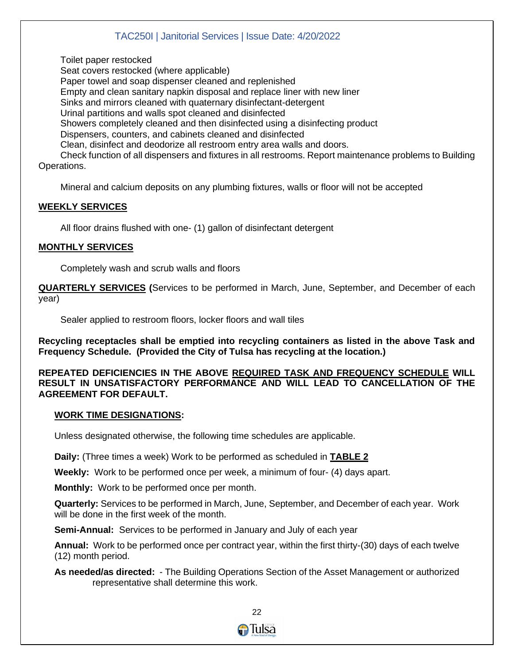Toilet paper restocked

Seat covers restocked (where applicable) Paper towel and soap dispenser cleaned and replenished Empty and clean sanitary napkin disposal and replace liner with new liner Sinks and mirrors cleaned with quaternary disinfectant-detergent Urinal partitions and walls spot cleaned and disinfected Showers completely cleaned and then disinfected using a disinfecting product Dispensers, counters, and cabinets cleaned and disinfected Clean, disinfect and deodorize all restroom entry area walls and doors. Check function of all dispensers and fixtures in all restrooms. Report maintenance problems to Building Operations.

Mineral and calcium deposits on any plumbing fixtures, walls or floor will not be accepted

#### **WEEKLY SERVICES**

All floor drains flushed with one- (1) gallon of disinfectant detergent

#### **MONTHLY SERVICES**

Completely wash and scrub walls and floors

**QUARTERLY SERVICES (**Services to be performed in March, June, September, and December of each year)

Sealer applied to restroom floors, locker floors and wall tiles

**Recycling receptacles shall be emptied into recycling containers as listed in the above Task and Frequency Schedule. (Provided the City of Tulsa has recycling at the location.)**

**REPEATED DEFICIENCIES IN THE ABOVE REQUIRED TASK AND FREQUENCY SCHEDULE WILL RESULT IN UNSATISFACTORY PERFORMANCE AND WILL LEAD TO CANCELLATION OF THE AGREEMENT FOR DEFAULT.**

#### **WORK TIME DESIGNATIONS:**

Unless designated otherwise, the following time schedules are applicable.

**Daily:** (Three times a week) Work to be performed as scheduled in **TABLE 2**

**Weekly:** Work to be performed once per week, a minimum of four- (4) days apart.

**Monthly:** Work to be performed once per month.

**Quarterly:** Services to be performed in March, June, September, and December of each year. Work will be done in the first week of the month.

**Semi-Annual:** Services to be performed in January and July of each year

**Annual:** Work to be performed once per contract year, within the first thirty-(30) days of each twelve (12) month period.

**As needed/as directed:** - The Building Operations Section of the Asset Management or authorized representative shall determine this work.

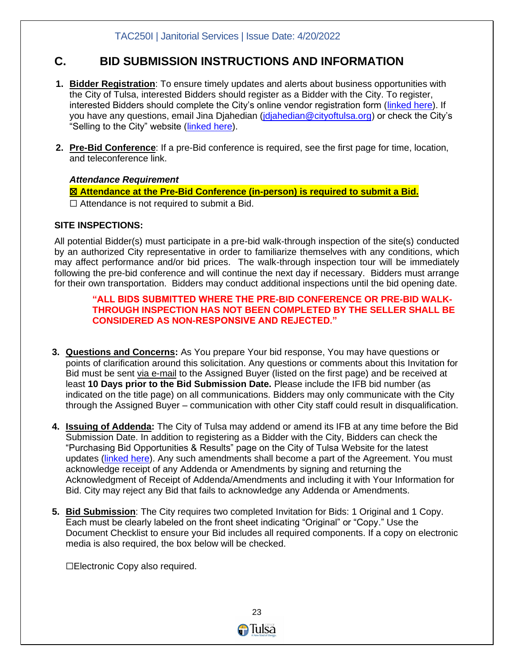## **C. BID SUBMISSION INSTRUCTIONS AND INFORMATION**

- **1. Bidder Registration**: To ensure timely updates and alerts about business opportunities with the City of Tulsa, interested Bidders should register as a Bidder with the City. To register, interested Bidders should complete the City's online vendor registration form [\(linked here\)](https://survey123.arcgis.com/share/0df171c77c824d71b1674ecaf1da369f). If you have any questions, email Jina Djahedian (*jdjahedian@cityoftulsa.org*) or check the City's "Selling to the City" website [\(linked here\)](https://www.cityoftulsa.org/government/departments/finance/selling-to-the-city/register-as-a-vendor/).
- **2. Pre-Bid Conference**: If a pre-Bid conference is required, see the first page for time, location, and teleconference link.

#### *Attendance Requirement*

☒ **Attendance at the Pre-Bid Conference (in-person) is required to submit a Bid.**  $\Box$  Attendance is not required to submit a Bid.

#### **SITE INSPECTIONS:**

All potential Bidder(s) must participate in a pre-bid walk-through inspection of the site(s) conducted by an authorized City representative in order to familiarize themselves with any conditions, which may affect performance and/or bid prices. The walk-through inspection tour will be immediately following the pre-bid conference and will continue the next day if necessary. Bidders must arrange for their own transportation. Bidders may conduct additional inspections until the bid opening date.

#### **"ALL BIDS SUBMITTED WHERE THE PRE-BID CONFERENCE OR PRE-BID WALK-THROUGH INSPECTION HAS NOT BEEN COMPLETED BY THE SELLER SHALL BE CONSIDERED AS NON-RESPONSIVE AND REJECTED."**

- **3. Questions and Concerns:** As You prepare Your bid response, You may have questions or points of clarification around this solicitation. Any questions or comments about this Invitation for Bid must be sent via e-mail to the Assigned Buyer (listed on the first page) and be received at least **10 Days prior to the Bid Submission Date.** Please include the IFB bid number (as indicated on the title page) on all communications. Bidders may only communicate with the City through the Assigned Buyer – communication with other City staff could result in disqualification.
- **4. Issuing of Addenda:** The City of Tulsa may addend or amend its IFB at any time before the Bid Submission Date. In addition to registering as a Bidder with the City, Bidders can check the "Purchasing Bid Opportunities & Results" page on the City of Tulsa Website for the latest updates [\(linked here\)](https://www.cityoftulsa.org/government/departments/finance/selling-to-the-city/current-bid-opportunities/). Any such amendments shall become a part of the Agreement. You must acknowledge receipt of any Addenda or Amendments by signing and returning the Acknowledgment of Receipt of Addenda/Amendments and including it with Your Information for Bid. City may reject any Bid that fails to acknowledge any Addenda or Amendments.
- **5. Bid Submission**: The City requires two completed Invitation for Bids: 1 Original and 1 Copy. Each must be clearly labeled on the front sheet indicating "Original" or "Copy." Use the Document Checklist to ensure your Bid includes all required components. If a copy on electronic media is also required, the box below will be checked.

☐Electronic Copy also required.

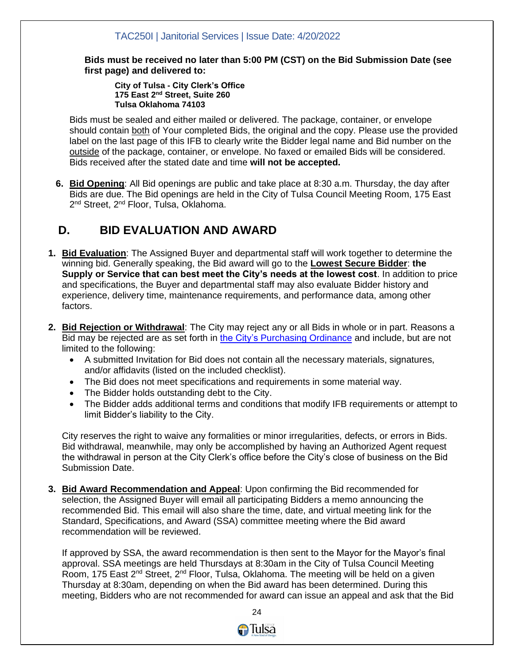**Bids must be received no later than 5:00 PM (CST) on the Bid Submission Date (see first page) and delivered to:**

**City of Tulsa - City Clerk's Office 175 East 2nd Street, Suite 260 Tulsa Oklahoma 74103**

Bids must be sealed and either mailed or delivered. The package, container, or envelope should contain both of Your completed Bids, the original and the copy. Please use the provided label on the last page of this IFB to clearly write the Bidder legal name and Bid number on the outside of the package, container, or envelope. No faxed or emailed Bids will be considered. Bids received after the stated date and time **will not be accepted.** 

**6. Bid Opening**: All Bid openings are public and take place at 8:30 a.m. Thursday, the day after Bids are due. The Bid openings are held in the City of Tulsa Council Meeting Room, 175 East 2<sup>nd</sup> Street, 2<sup>nd</sup> Floor, Tulsa, Oklahoma.

## **D. BID EVALUATION AND AWARD**

- **1. Bid Evaluation**: The Assigned Buyer and departmental staff will work together to determine the winning bid. Generally speaking, the Bid award will go to the **Lowest Secure Bidder**: **the Supply or Service that can best meet the City's needs at the lowest cost**. In addition to price and specifications, the Buyer and departmental staff may also evaluate Bidder history and experience, delivery time, maintenance requirements, and performance data, among other factors.
- **2. Bid Rejection or Withdrawal**: The City may reject any or all Bids in whole or in part. Reasons a Bid may be rejected are as set forth in [the City's Purchasing Ordinance](https://library.municode.com/ok/tulsa/codes/code_of_ordinances?nodeId=CD_ORD_TIT6FIDE_CH4PU_S407FOCOPUORGERECOPR) and include, but are not limited to the following:
	- A submitted Invitation for Bid does not contain all the necessary materials, signatures, and/or affidavits (listed on the included checklist).
	- The Bid does not meet specifications and requirements in some material way.
	- The Bidder holds outstanding debt to the City.
	- The Bidder adds additional terms and conditions that modify IFB requirements or attempt to limit Bidder's liability to the City.

City reserves the right to waive any formalities or minor irregularities, defects, or errors in Bids. Bid withdrawal, meanwhile, may only be accomplished by having an Authorized Agent request the withdrawal in person at the City Clerk's office before the City's close of business on the Bid Submission Date.

**3. Bid Award Recommendation and Appeal**: Upon confirming the Bid recommended for selection, the Assigned Buyer will email all participating Bidders a memo announcing the recommended Bid. This email will also share the time, date, and virtual meeting link for the Standard, Specifications, and Award (SSA) committee meeting where the Bid award recommendation will be reviewed.

If approved by SSA, the award recommendation is then sent to the Mayor for the Mayor's final approval. SSA meetings are held Thursdays at 8:30am in the City of Tulsa Council Meeting Room, 175 East 2<sup>nd</sup> Street, 2<sup>nd</sup> Floor, Tulsa, Oklahoma. The meeting will be held on a given Thursday at 8:30am, depending on when the Bid award has been determined. During this meeting, Bidders who are not recommended for award can issue an appeal and ask that the Bid

<u>24 and 24</u>

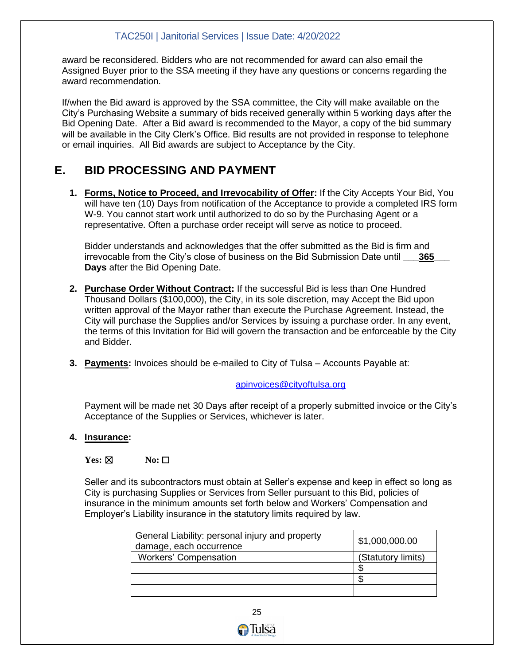award be reconsidered. Bidders who are not recommended for award can also email the Assigned Buyer prior to the SSA meeting if they have any questions or concerns regarding the award recommendation.

If/when the Bid award is approved by the SSA committee, the City will make available on the City's Purchasing Website a summary of bids received generally within 5 working days after the Bid Opening Date. After a Bid award is recommended to the Mayor, a copy of the bid summary will be available in the City Clerk's Office. Bid results are not provided in response to telephone or email inquiries. All Bid awards are subject to Acceptance by the City.

## **E. BID PROCESSING AND PAYMENT**

**1. Forms, Notice to Proceed, and Irrevocability of Offer:** If the City Accepts Your Bid, You will have ten (10) Days from notification of the Acceptance to provide a completed IRS form W-9. You cannot start work until authorized to do so by the Purchasing Agent or a representative. Often a purchase order receipt will serve as notice to proceed.

Bidder understands and acknowledges that the offer submitted as the Bid is firm and irrevocable from the City's close of business on the Bid Submission Date until **\_\_\_365\_\_\_ Days** after the Bid Opening Date.

- **2. Purchase Order Without Contract:** If the successful Bid is less than One Hundred Thousand Dollars (\$100,000), the City, in its sole discretion, may Accept the Bid upon written approval of the Mayor rather than execute the Purchase Agreement. Instead, the City will purchase the Supplies and/or Services by issuing a purchase order. In any event, the terms of this Invitation for Bid will govern the transaction and be enforceable by the City and Bidder.
- **3. Payments:** Invoices should be e-mailed to City of Tulsa Accounts Payable at:

#### [apinvoices@cityoftulsa.org](mailto:apinvoices@cityoftulsa.org)

Payment will be made net 30 Days after receipt of a properly submitted invoice or the City's Acceptance of the Supplies or Services, whichever is later.

#### **4. Insurance:**

#### **Yes:** ⊠ **No:** □

Seller and its subcontractors must obtain at Seller's expense and keep in effect so long as City is purchasing Supplies or Services from Seller pursuant to this Bid, policies of insurance in the minimum amounts set forth below and Workers' Compensation and Employer's Liability insurance in the statutory limits required by law.

| General Liability: personal injury and property<br>damage, each occurrence | \$1,000,000.00     |
|----------------------------------------------------------------------------|--------------------|
| <b>Workers' Compensation</b>                                               | (Statutory limits) |
|                                                                            |                    |
|                                                                            |                    |
|                                                                            |                    |

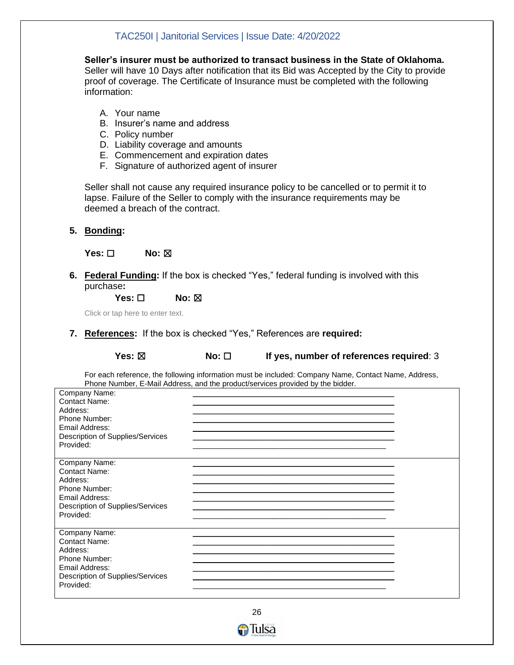**Seller's insurer must be authorized to transact business in the State of Oklahoma.** Seller will have 10 Days after notification that its Bid was Accepted by the City to provide proof of coverage. The Certificate of Insurance must be completed with the following information:

- A. Your name
- B. Insurer's name and address
- C. Policy number
- D. Liability coverage and amounts
- E. Commencement and expiration dates
- F. Signature of authorized agent of insurer

Seller shall not cause any required insurance policy to be cancelled or to permit it to lapse. Failure of the Seller to comply with the insurance requirements may be deemed a breach of the contract.

**5. Bonding:**

**Yes: □** No: ⊠

**6. Federal Funding:** If the box is checked "Yes," federal funding is involved with this purchase**:**

**Yes:** □ **No:** ⊠

Click or tap here to enter text.

**7. References:** If the box is checked "Yes," References are **required:**

**Yes:** ⊠ **No:**  $□$  **If yes, number of references required: 3** 

For each reference, the following information must be included: Company Name, Contact Name, Address, Phone Number, E-Mail Address, and the product/services provided by the bidder.

| Company Name:<br>Contact Name:<br>Address:<br>Phone Number:<br>Email Address:<br>Description of Supplies/Services<br>Provided:        |  |
|---------------------------------------------------------------------------------------------------------------------------------------|--|
| Company Name:<br>Contact Name:<br>Address:<br>Phone Number:<br>Email Address:<br>Description of Supplies/Services<br>Provided:        |  |
| Company Name:<br><b>Contact Name:</b><br>Address:<br>Phone Number:<br>Email Address:<br>Description of Supplies/Services<br>Provided: |  |



**O**Tulsa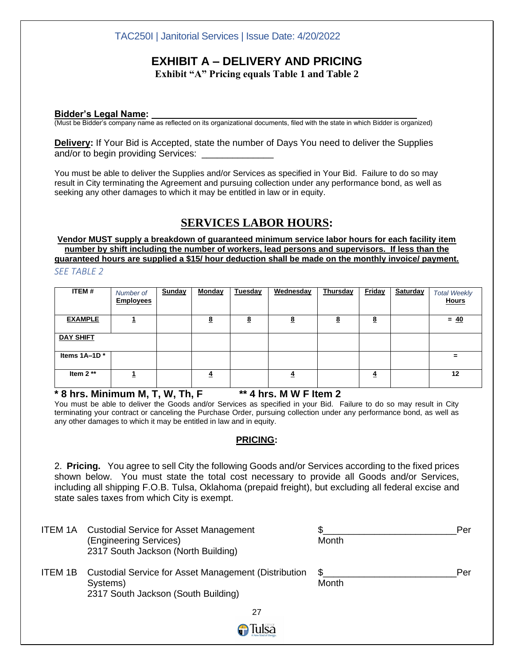## **EXHIBIT A – DELIVERY AND PRICING**

**Exhibit "A" Pricing equals Table 1 and Table 2**

#### **Bidder's Legal Name:**

(Must be Bidder's company name as reflected on its organizational documents, filed with the state in which Bidder is organized)

**Delivery:** If Your Bid is Accepted, state the number of Days You need to deliver the Supplies and/or to begin providing Services:

You must be able to deliver the Supplies and/or Services as specified in Your Bid. Failure to do so may result in City terminating the Agreement and pursuing collection under any performance bond, as well as seeking any other damages to which it may be entitled in law or in equity.

## **SERVICES LABOR HOURS:**

**Vendor MUST supply a breakdown of guaranteed minimum service labor hours for each facility item number by shift including the number of workers, lead persons and supervisors. If less than the guaranteed hours are supplied a \$15/ hour deduction shall be made on the monthly invoice/ payment.** 

*SEE TABLE 2*

| ITEM#            | Number of<br><b>Employees</b> | <b>Sunday</b> | Monday   | Tuesday  | Wednesday | Thursday | <b>Friday</b> | <b>Saturday</b> | <b>Total Weekly</b><br><b>Hours</b> |
|------------------|-------------------------------|---------------|----------|----------|-----------|----------|---------------|-----------------|-------------------------------------|
| <b>EXAMPLE</b>   |                               |               | <u>8</u> | <u>8</u> | <u>8</u>  | <u>8</u> | <u>8</u>      |                 | $= 40$                              |
| <b>DAY SHIFT</b> |                               |               |          |          |           |          |               |                 |                                     |
| Items 1A-1D*     |                               |               |          |          |           |          |               |                 | =                                   |
| Item $2**$       |                               |               | 4        |          | 4         |          | ₹             |                 | 12                                  |

**\* 8 hrs. Minimum M, T, W, Th, F \*\* 4 hrs. M W F Item 2**

You must be able to deliver the Goods and/or Services as specified in your Bid. Failure to do so may result in City terminating your contract or canceling the Purchase Order, pursuing collection under any performance bond, as well as any other damages to which it may be entitled in law and in equity.

#### **PRICING:**

2. **Pricing.** You agree to sell City the following Goods and/or Services according to the fixed prices shown below. You must state the total cost necessary to provide all Goods and/or Services, including all shipping F.O.B. Tulsa, Oklahoma (prepaid freight), but excluding all federal excise and state sales taxes from which City is exempt.

| ITEM 1A | <b>Custodial Service for Asset Management</b><br>(Engineering Services)<br>2317 South Jackson (North Building) | \$<br>Per<br>Month |  |
|---------|----------------------------------------------------------------------------------------------------------------|--------------------|--|
| ITEM 1B | Custodial Service for Asset Management (Distribution<br>Systems)<br>2317 South Jackson (South Building)        | £.<br>Per<br>Month |  |
|         | 27                                                                                                             |                    |  |
|         | ilëa                                                                                                           |                    |  |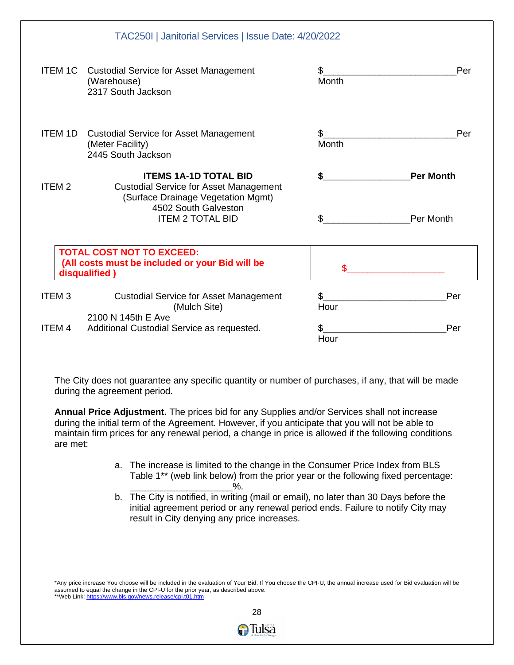|                   | TAC250I   Janitorial Services   Issue Date: 4/20/2022                                                                                                                  |             |                               |
|-------------------|------------------------------------------------------------------------------------------------------------------------------------------------------------------------|-------------|-------------------------------|
| ITEM 1C           | <b>Custodial Service for Asset Management</b><br>(Warehouse)<br>2317 South Jackson                                                                                     | \$<br>Month | Per                           |
| <b>ITEM 1D</b>    | <b>Custodial Service for Asset Management</b><br>(Meter Facility)<br>2445 South Jackson                                                                                | \$<br>Month | Per                           |
| ITEM <sub>2</sub> | <b>ITEMS 1A-1D TOTAL BID</b><br><b>Custodial Service for Asset Management</b><br>(Surface Drainage Vegetation Mgmt)<br>4502 South Galveston<br><b>ITEM 2 TOTAL BID</b> | \$<br>\$    | <b>Per Month</b><br>Per Month |
|                   | <b>TOTAL COST NOT TO EXCEED:</b><br>(All costs must be included or your Bid will be<br>disqualified)                                                                   |             |                               |
| <b>ITEM3</b>      | <b>Custodial Service for Asset Management</b><br>(Mulch Site)                                                                                                          | \$<br>Hour  | Per                           |
| ITEM 4            | 2100 N 145th E Ave<br>Additional Custodial Service as requested.                                                                                                       | \$<br>Hour  | Per                           |

The City does not guarantee any specific quantity or number of purchases, if any, that will be made during the agreement period.

**Annual Price Adjustment.** The prices bid for any Supplies and/or Services shall not increase during the initial term of the Agreement. However, if you anticipate that you will not be able to maintain firm prices for any renewal period, a change in price is allowed if the following conditions are met:

- a. The increase is limited to the change in the Consumer Price Index from BLS Table 1\*\* (web link below) from the prior year or the following fixed percentage:  $\%$ .
- b. The City is notified, in writing (mail or email), no later than 30 Days before the initial agreement period or any renewal period ends. Failure to notify City may result in City denying any price increases.

\*Any price increase You choose will be included in the evaluation of Your Bid. If You choose the CPI-U, the annual increase used for Bid evaluation will be assumed to equal the change in the CPI-U for the prior year, as described above. \*\*Web Link: https://www.bls.gov/news.release/cpi.t01.htm

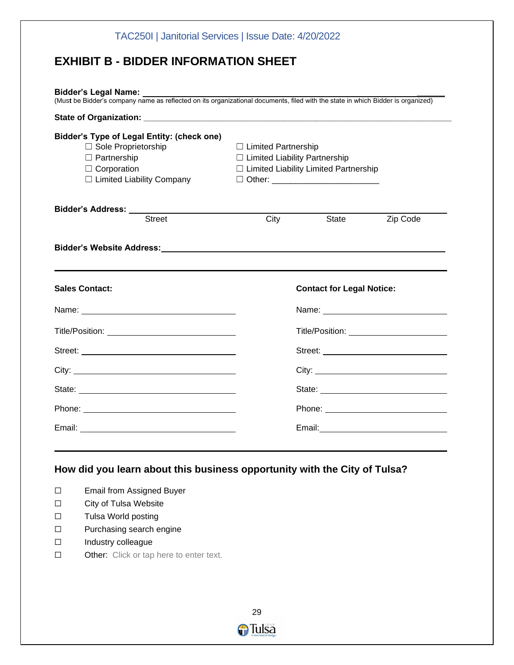| <b>EXHIBIT B - BIDDER INFORMATION SHEET</b>                                                                                                                                                                                                                                                                                                                                                                                                                                              |                                                                                                                                                               |                                  |          |
|------------------------------------------------------------------------------------------------------------------------------------------------------------------------------------------------------------------------------------------------------------------------------------------------------------------------------------------------------------------------------------------------------------------------------------------------------------------------------------------|---------------------------------------------------------------------------------------------------------------------------------------------------------------|----------------------------------|----------|
| Bidder's Legal Name: Value of the Bidder's Legal Name:<br>(Must be Bidder's company name as reflected on its organizational documents, filed with the state in which Bidder is organized)                                                                                                                                                                                                                                                                                                |                                                                                                                                                               |                                  |          |
|                                                                                                                                                                                                                                                                                                                                                                                                                                                                                          |                                                                                                                                                               |                                  |          |
| <b>Bidder's Type of Legal Entity: (check one)</b><br>□ Sole Proprietorship<br>$\Box$ Partnership<br>$\Box$ Corporation<br>□ Limited Liability Company                                                                                                                                                                                                                                                                                                                                    | $\Box$ Limited Partnership<br>$\Box$ Limited Liability Partnership<br>$\Box$ Limited Liability Limited Partnership<br>□ Other: ______________________________ |                                  |          |
| Bidder's Address: ________                                                                                                                                                                                                                                                                                                                                                                                                                                                               |                                                                                                                                                               |                                  |          |
| <b>Street</b>                                                                                                                                                                                                                                                                                                                                                                                                                                                                            | $\overline{City}$                                                                                                                                             | State                            | Zip Code |
|                                                                                                                                                                                                                                                                                                                                                                                                                                                                                          |                                                                                                                                                               |                                  |          |
|                                                                                                                                                                                                                                                                                                                                                                                                                                                                                          |                                                                                                                                                               | <b>Contact for Legal Notice:</b> |          |
|                                                                                                                                                                                                                                                                                                                                                                                                                                                                                          |                                                                                                                                                               |                                  |          |
|                                                                                                                                                                                                                                                                                                                                                                                                                                                                                          |                                                                                                                                                               |                                  |          |
|                                                                                                                                                                                                                                                                                                                                                                                                                                                                                          |                                                                                                                                                               |                                  |          |
|                                                                                                                                                                                                                                                                                                                                                                                                                                                                                          |                                                                                                                                                               |                                  |          |
|                                                                                                                                                                                                                                                                                                                                                                                                                                                                                          |                                                                                                                                                               |                                  |          |
| <b>Sales Contact:</b><br>Name: Name: Name: Name: Name: Name: Name: Name: Name: Name: Name: Name: Name: Name: Name: Name: Name: Name: Name: Name: Name: Name: Name: Name: Name: Name: Name: Name: Name: Name: Name: Name: Name: Name: Name: Name: Name:<br>Phone: New York Street, New York Street, New York Street, New York Street, New York Street, New York Street, New York Street, New York Street, New York Street, New York Street, New York Street, New York Street, New York St |                                                                                                                                                               |                                  |          |

## **How did you learn about this business opportunity with the City of Tulsa?**

- ☐ Email from Assigned Buyer
- ☐ City of Tulsa Website
- ☐ Tulsa World posting
- ☐ Purchasing search engine
- ☐ Industry colleague
- ☐ Other: Click or tap here to enter text.

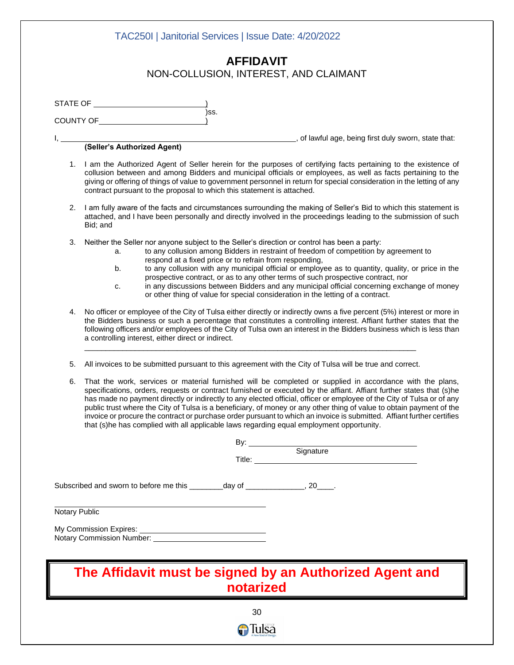|               | )ss.<br>COUNTY OF <b>COUNTY OF</b>                                                                                                                                                                                                                                                                                                                                                                                                                                                                                                                                                                                                                                                                        |
|---------------|-----------------------------------------------------------------------------------------------------------------------------------------------------------------------------------------------------------------------------------------------------------------------------------------------------------------------------------------------------------------------------------------------------------------------------------------------------------------------------------------------------------------------------------------------------------------------------------------------------------------------------------------------------------------------------------------------------------|
|               | (Seller's Authorized Agent) (Seller's Authorized Agent)                                                                                                                                                                                                                                                                                                                                                                                                                                                                                                                                                                                                                                                   |
|               | 1. I am the Authorized Agent of Seller herein for the purposes of certifying facts pertaining to the existence of<br>collusion between and among Bidders and municipal officials or employees, as well as facts pertaining to the<br>giving or offering of things of value to government personnel in return for special consideration in the letting of any<br>contract pursuant to the proposal to which this statement is attached.                                                                                                                                                                                                                                                                    |
| 2.            | I am fully aware of the facts and circumstances surrounding the making of Seller's Bid to which this statement is<br>attached, and I have been personally and directly involved in the proceedings leading to the submission of such<br>Bid; and                                                                                                                                                                                                                                                                                                                                                                                                                                                          |
| 3.            | Neither the Seller nor anyone subject to the Seller's direction or control has been a party:<br>to any collusion among Bidders in restraint of freedom of competition by agreement to<br>a.<br>respond at a fixed price or to refrain from responding,<br>to any collusion with any municipal official or employee as to quantity, quality, or price in the<br>b.<br>prospective contract, or as to any other terms of such prospective contract, nor<br>in any discussions between Bidders and any municipal official concerning exchange of money<br>c.<br>or other thing of value for special consideration in the letting of a contract.                                                              |
| 4.            | No officer or employee of the City of Tulsa either directly or indirectly owns a five percent (5%) interest or more in<br>the Bidders business or such a percentage that constitutes a controlling interest. Affiant further states that the<br>following officers and/or employees of the City of Tulsa own an interest in the Bidders business which is less than<br>a controlling interest, either direct or indirect.                                                                                                                                                                                                                                                                                 |
| 5.            | All invoices to be submitted pursuant to this agreement with the City of Tulsa will be true and correct.                                                                                                                                                                                                                                                                                                                                                                                                                                                                                                                                                                                                  |
| 6.            | That the work, services or material furnished will be completed or supplied in accordance with the plans,<br>specifications, orders, requests or contract furnished or executed by the affiant. Affiant further states that (s)he<br>has made no payment directly or indirectly to any elected official, officer or employee of the City of Tulsa or of any<br>public trust where the City of Tulsa is a beneficiary, of money or any other thing of value to obtain payment of the<br>invoice or procure the contract or purchase order pursuant to which an invoice is submitted. Affiant further certifies<br>that (s)he has complied with all applicable laws regarding equal employment opportunity. |
|               | By: Signature<br>Title: Signature                                                                                                                                                                                                                                                                                                                                                                                                                                                                                                                                                                                                                                                                         |
| Notary Public | Subscribed and sworn to before me this _________day of ______________, 20____.                                                                                                                                                                                                                                                                                                                                                                                                                                                                                                                                                                                                                            |
|               | My Commission Expires:<br>Notary Commission Number: _______________________________                                                                                                                                                                                                                                                                                                                                                                                                                                                                                                                                                                                                                       |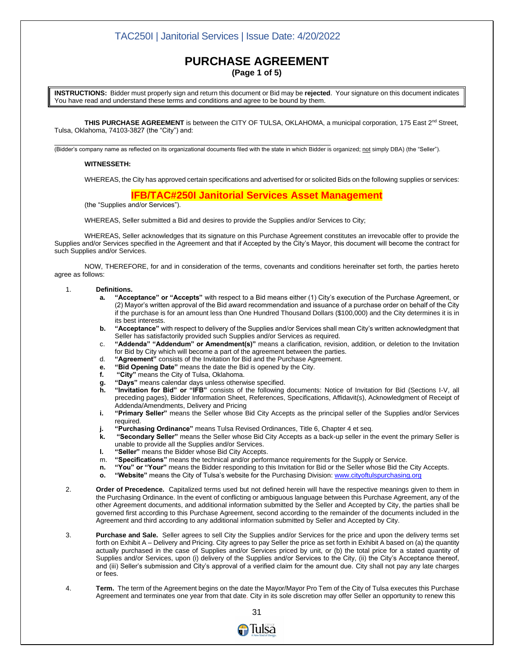#### **PURCHASE AGREEMENT (Page 1 of 5)**

**INSTRUCTIONS:** Bidder must properly sign and return this document or Bid may be **rejected**. Your signature on this document indicates You have read and understand these terms and conditions and agree to be bound by them.

THIS PURCHASE AGREEMENT is between the CITY OF TULSA, OKLAHOMA, a municipal corporation, 175 East 2<sup>nd</sup> Street, Tulsa, Oklahoma, 74103-3827 (the "City") and:

\_\_\_\_\_\_\_\_\_\_\_\_\_\_\_\_\_\_\_\_\_\_\_\_\_\_\_\_\_\_\_\_\_\_\_\_\_\_\_\_\_\_\_\_\_\_\_\_\_\_\_\_\_\_\_\_\_\_\_\_\_\_\_\_\_\_\_\_\_\_\_\_\_\_ (Bidder's company name as reflected on its organizational documents filed with the state in which Bidder is organized; not simply DBA) (the "Seller").

#### **WITNESSETH:**

WHEREAS, the City has approved certain specifications and advertised for or solicited Bids on the following supplies or services:

#### **IFB/TAC#250I Janitorial Services Asset Management**

(the "Supplies and/or Services").

WHEREAS, Seller submitted a Bid and desires to provide the Supplies and/or Services to City;

WHEREAS, Seller acknowledges that its signature on this Purchase Agreement constitutes an irrevocable offer to provide the Supplies and/or Services specified in the Agreement and that if Accepted by the City's Mayor, this document will become the contract for such Supplies and/or Services.

NOW, THEREFORE, for and in consideration of the terms, covenants and conditions hereinafter set forth, the parties hereto agree as follows:

#### 1. **Definitions.**

- **a. "Acceptance" or "Accepts"** with respect to a Bid means either (1) City's execution of the Purchase Agreement, or (2) Mayor's written approval of the Bid award recommendation and issuance of a purchase order on behalf of the City if the purchase is for an amount less than One Hundred Thousand Dollars (\$100,000) and the City determines it is in its best interests.
- **b. "Acceptance"** with respect to delivery of the Supplies and/or Services shall mean City's written acknowledgment that Seller has satisfactorily provided such Supplies and/or Services as required.
- c. **"Addenda" "Addendum" or Amendment(s)"** means a clarification, revision, addition, or deletion to the Invitation for Bid by City which will become a part of the agreement between the parties.
- d. **"Agreement"** consists of the Invitation for Bid and the Purchase Agreement.
- **e. "Bid Opening Date"** means the date the Bid is opened by the City.
- **f. "City"** means the City of Tulsa, Oklahoma.
- **g. "Days"** means calendar days unless otherwise specified.
- **h. "Invitation for Bid" or "IFB"** consists of the following documents: Notice of Invitation for Bid (Sections I-V, all preceding pages), Bidder Information Sheet, References, Specifications, Affidavit(s), Acknowledgment of Receipt of Addenda/Amendments, Delivery and Pricing
- **i. "Primary Seller"** means the Seller whose Bid City Accepts as the principal seller of the Supplies and/or Services required.
- **j. "Purchasing Ordinance"** means Tulsa Revised Ordinances, Title 6, Chapter 4 et seq.
- **k. "Secondary Seller"** means the Seller whose Bid City Accepts as a back-up seller in the event the primary Seller is unable to provide all the Supplies and/or Services.
- **l. "Seller"** means the Bidder whose Bid City Accepts.
- m. **"Specifications"** means the technical and/or performance requirements for the Supply or Service.
- **n. "You" or "Your"** means the Bidder responding to this Invitation for Bid or the Seller whose Bid the City Accepts.
- **o. "Website"** means the City of Tulsa's website for the Purchasing Division[: www.cityoftulspurchasing.org](http://www.cityoftulspurchasing.org/)
- 2. **Order of Precedence.** Capitalized terms used but not defined herein will have the respective meanings given to them in the Purchasing Ordinance. In the event of conflicting or ambiguous language between this Purchase Agreement, any of the other Agreement documents, and additional information submitted by the Seller and Accepted by City, the parties shall be governed first according to this Purchase Agreement, second according to the remainder of the documents included in the Agreement and third according to any additional information submitted by Seller and Accepted by City.
- 3. **Purchase and Sale.** Seller agrees to sell City the Supplies and/or Services for the price and upon the delivery terms set forth on Exhibit A – Delivery and Pricing. City agrees to pay Seller the price as set forth in Exhibit A based on (a) the quantity actually purchased in the case of Supplies and/or Services priced by unit, or (b) the total price for a stated quantity of Supplies and/or Services, upon (i) delivery of the Supplies and/or Services to the City, (ii) the City's Acceptance thereof, and (iii) Seller's submission and City's approval of a verified claim for the amount due. City shall not pay any late charges or fees.
- 4. **Term.** The term of the Agreement begins on the date the Mayor/Mayor Pro Tem of the City of Tulsa executes this Purchase Agreement and terminates one year from that date. City in its sole discretion may offer Seller an opportunity to renew this

 31 **A**Tulsa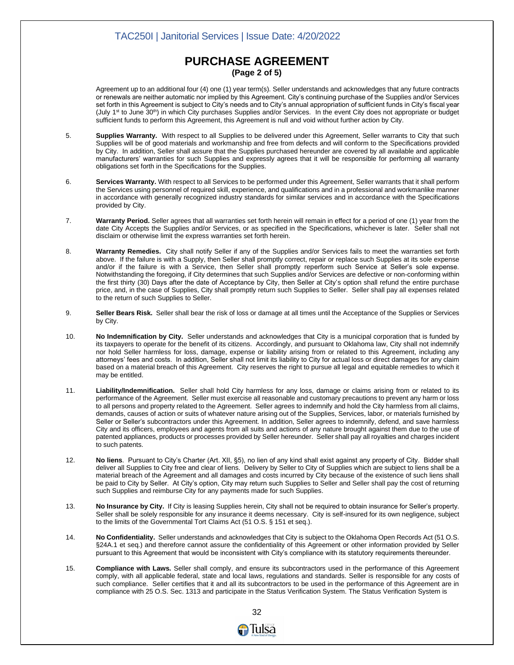#### **PURCHASE AGREEMENT (Page 2 of 5)**

Agreement up to an additional four (4) one (1) year term(s). Seller understands and acknowledges that any future contracts or renewals are neither automatic nor implied by this Agreement. City's continuing purchase of the Supplies and/or Services set forth in this Agreement is subject to City's needs and to City's annual appropriation of sufficient funds in City's fiscal year (July 1<sup>st</sup> to June 30<sup>th</sup>) in which City purchases Supplies and/or Services. In the event City does not appropriate or budget sufficient funds to perform this Agreement, this Agreement is null and void without further action by City.

- 5. **Supplies Warranty.** With respect to all Supplies to be delivered under this Agreement, Seller warrants to City that such Supplies will be of good materials and workmanship and free from defects and will conform to the Specifications provided by City. In addition, Seller shall assure that the Supplies purchased hereunder are covered by all available and applicable manufacturers' warranties for such Supplies and expressly agrees that it will be responsible for performing all warranty obligations set forth in the Specifications for the Supplies.
- 6. **Services Warranty.** With respect to all Services to be performed under this Agreement, Seller warrants that it shall perform the Services using personnel of required skill, experience, and qualifications and in a professional and workmanlike manner in accordance with generally recognized industry standards for similar services and in accordance with the Specifications provided by City.
- 7. **Warranty Period.** Seller agrees that all warranties set forth herein will remain in effect for a period of one (1) year from the date City Accepts the Supplies and/or Services, or as specified in the Specifications, whichever is later. Seller shall not disclaim or otherwise limit the express warranties set forth herein.
- 8. **Warranty Remedies.** City shall notify Seller if any of the Supplies and/or Services fails to meet the warranties set forth above. If the failure is with a Supply, then Seller shall promptly correct, repair or replace such Supplies at its sole expense and/or if the failure is with a Service, then Seller shall promptly reperform such Service at Seller's sole expense. Notwithstanding the foregoing, if City determines that such Supplies and/or Services are defective or non-conforming within the first thirty (30) Days after the date of Acceptance by City, then Seller at City's option shall refund the entire purchase price, and, in the case of Supplies, City shall promptly return such Supplies to Seller. Seller shall pay all expenses related to the return of such Supplies to Seller.
- 9. **Seller Bears Risk.** Seller shall bear the risk of loss or damage at all times until the Acceptance of the Supplies or Services by City.
- 10. **No Indemnification by City.** Seller understands and acknowledges that City is a municipal corporation that is funded by its taxpayers to operate for the benefit of its citizens. Accordingly, and pursuant to Oklahoma law, City shall not indemnify nor hold Seller harmless for loss, damage, expense or liability arising from or related to this Agreement, including any attorneys' fees and costs. In addition, Seller shall not limit its liability to City for actual loss or direct damages for any claim based on a material breach of this Agreement. City reserves the right to pursue all legal and equitable remedies to which it may be entitled.
- 11. **Liability/Indemnification.** Seller shall hold City harmless for any loss, damage or claims arising from or related to its performance of the Agreement. Seller must exercise all reasonable and customary precautions to prevent any harm or loss to all persons and property related to the Agreement. Seller agrees to indemnify and hold the City harmless from all claims, demands, causes of action or suits of whatever nature arising out of the Supplies, Services, labor, or materials furnished by Seller or Seller's subcontractors under this Agreement. In addition, Seller agrees to indemnify, defend, and save harmless City and its officers, employees and agents from all suits and actions of any nature brought against them due to the use of patented appliances, products or processes provided by Seller hereunder. Seller shall pay all royalties and charges incident to such patents.
- 12. **No liens**. Pursuant to City's Charter (Art. XII, §5), no lien of any kind shall exist against any property of City. Bidder shall deliver all Supplies to City free and clear of liens. Delivery by Seller to City of Supplies which are subject to liens shall be a material breach of the Agreement and all damages and costs incurred by City because of the existence of such liens shall be paid to City by Seller. At City's option, City may return such Supplies to Seller and Seller shall pay the cost of returning such Supplies and reimburse City for any payments made for such Supplies.
- 13. **No Insurance by City.** If City is leasing Supplies herein, City shall not be required to obtain insurance for Seller's property. Seller shall be solely responsible for any insurance it deems necessary. City is self-insured for its own negligence, subject to the limits of the Governmental Tort Claims Act (51 O.S. § 151 et seq.).
- 14. **No Confidentiality.** Seller understands and acknowledges that City is subject to the Oklahoma Open Records Act (51 O.S. §24A.1 et seq.) and therefore cannot assure the confidentiality of this Agreement or other information provided by Seller pursuant to this Agreement that would be inconsistent with City's compliance with its statutory requirements thereunder.
- 15. **Compliance with Laws.** Seller shall comply, and ensure its subcontractors used in the performance of this Agreement comply, with all applicable federal, state and local laws, regulations and standards. Seller is responsible for any costs of such compliance. Seller certifies that it and all its subcontractors to be used in the performance of this Agreement are in compliance with 25 O.S. Sec. 1313 and participate in the Status Verification System. The Status Verification System is

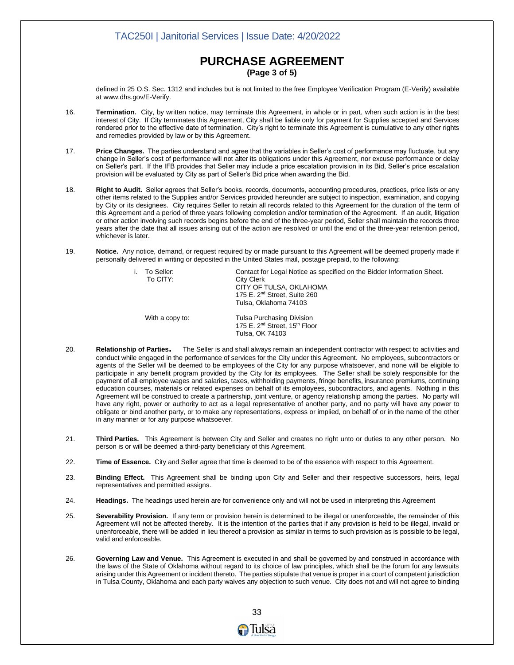#### **PURCHASE AGREEMENT (Page 3 of 5)**

defined in 25 O.S. Sec. 1312 and includes but is not limited to the free Employee Verification Program (E-Verify) available a[t www.dhs.gov/E-Verify.](http://www.dhs.gov/E-Verify)

- 16. **Termination.** City, by written notice, may terminate this Agreement, in whole or in part, when such action is in the best interest of City. If City terminates this Agreement, City shall be liable only for payment for Supplies accepted and Services rendered prior to the effective date of termination. City's right to terminate this Agreement is cumulative to any other rights and remedies provided by law or by this Agreement.
- 17. **Price Changes.** The parties understand and agree that the variables in Seller's cost of performance may fluctuate, but any change in Seller's cost of performance will not alter its obligations under this Agreement, nor excuse performance or delay on Seller's part. If the IFB provides that Seller may include a price escalation provision in its Bid, Seller's price escalation provision will be evaluated by City as part of Seller's Bid price when awarding the Bid.
- 18. **Right to Audit.** Seller agrees that Seller's books, records, documents, accounting procedures, practices, price lists or any other items related to the Supplies and/or Services provided hereunder are subject to inspection, examination, and copying by City or its designees. City requires Seller to retain all records related to this Agreement for the duration of the term of this Agreement and a period of three years following completion and/or termination of the Agreement. If an audit, litigation or other action involving such records begins before the end of the three-year period, Seller shall maintain the records three years after the date that all issues arising out of the action are resolved or until the end of the three-year retention period, whichever is later.
- 19. **Notice.** Any notice, demand, or request required by or made pursuant to this Agreement will be deemed properly made if personally delivered in writing or deposited in the United States mail, postage prepaid, to the following:

| İ. | To Seller:<br>To CITY: | Contact for Legal Notice as specified on the Bidder Information Sheet.<br>City Clerk<br>CITY OF TULSA, OKLAHOMA<br>175 E. 2 <sup>nd</sup> Street, Suite 260<br>Tulsa, Oklahoma 74103 |
|----|------------------------|--------------------------------------------------------------------------------------------------------------------------------------------------------------------------------------|
|    | With a copy to:        | Tulsa Purchasing Division<br>175 E. 2 <sup>nd</sup> Street, 15 <sup>th</sup> Floor<br>Tulsa, OK 74103                                                                                |

- 20. **Relationship of Parties.** The Seller is and shall always remain an independent contractor with respect to activities and conduct while engaged in the performance of services for the City under this Agreement. No employees, subcontractors or agents of the Seller will be deemed to be employees of the City for any purpose whatsoever, and none will be eligible to participate in any benefit program provided by the City for its employees. The Seller shall be solely responsible for the payment of all employee wages and salaries, taxes, withholding payments, fringe benefits, insurance premiums, continuing education courses, materials or related expenses on behalf of its employees, subcontractors, and agents. Nothing in this Agreement will be construed to create a partnership, joint venture, or agency relationship among the parties. No party will have any right, power or authority to act as a legal representative of another party, and no party will have any power to obligate or bind another party, or to make any representations, express or implied, on behalf of or in the name of the other in any manner or for any purpose whatsoever.
- 21. **Third Parties.** This Agreement is between City and Seller and creates no right unto or duties to any other person. No person is or will be deemed a third-party beneficiary of this Agreement.
- 22. **Time of Essence.** City and Seller agree that time is deemed to be of the essence with respect to this Agreement.
- 23. **Binding Effect.** This Agreement shall be binding upon City and Seller and their respective successors, heirs, legal representatives and permitted assigns.
- 24. **Headings.** The headings used herein are for convenience only and will not be used in interpreting this Agreement
- 25. **Severability Provision.** If any term or provision herein is determined to be illegal or unenforceable, the remainder of this Agreement will not be affected thereby. It is the intention of the parties that if any provision is held to be illegal, invalid or unenforceable, there will be added in lieu thereof a provision as similar in terms to such provision as is possible to be legal, valid and enforceable.
- 26. **Governing Law and Venue.** This Agreement is executed in and shall be governed by and construed in accordance with the laws of the State of Oklahoma without regard to its choice of law principles, which shall be the forum for any lawsuits arising under this Agreement or incident thereto. The parties stipulate that venue is proper in a court of competent jurisdiction in Tulsa County, Oklahoma and each party waives any objection to such venue. City does not and will not agree to binding

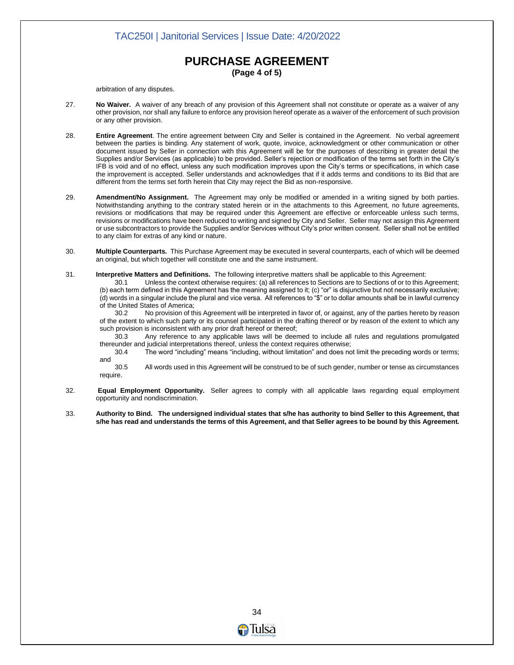#### **PURCHASE AGREEMENT (Page 4 of 5)**

arbitration of any disputes.

- 27. **No Waiver.** A waiver of any breach of any provision of this Agreement shall not constitute or operate as a waiver of any other provision, nor shall any failure to enforce any provision hereof operate as a waiver of the enforcement of such provision or any other provision.
- 28. **Entire Agreement**. The entire agreement between City and Seller is contained in the Agreement. No verbal agreement between the parties is binding. Any statement of work, quote, invoice, acknowledgment or other communication or other document issued by Seller in connection with this Agreement will be for the purposes of describing in greater detail the Supplies and/or Services (as applicable) to be provided. Seller's rejection or modification of the terms set forth in the City's IFB is void and of no effect, unless any such modification improves upon the City's terms or specifications, in which case the improvement is accepted. Seller understands and acknowledges that if it adds terms and conditions to its Bid that are different from the terms set forth herein that City may reject the Bid as non-responsive.
- 29. **Amendment/No Assignment.** The Agreement may only be modified or amended in a writing signed by both parties. Notwithstanding anything to the contrary stated herein or in the attachments to this Agreement, no future agreements, revisions or modifications that may be required under this Agreement are effective or enforceable unless such terms, revisions or modifications have been reduced to writing and signed by City and Seller. Seller may not assign this Agreement or use subcontractors to provide the Supplies and/or Services without City's prior written consent. Seller shall not be entitled to any claim for extras of any kind or nature.
- 30. **Multiple Counterparts.** This Purchase Agreement may be executed in several counterparts, each of which will be deemed an original, but which together will constitute one and the same instrument.

31. **Interpretive Matters and Definitions.** The following interpretive matters shall be applicable to this Agreement:

30.1 Unless the context otherwise requires: (a) all references to Sections are to Sections of or to this Agreement; (b) each term defined in this Agreement has the meaning assigned to it; (c) "or" is disjunctive but not necessarily exclusive; (d) words in a singular include the plural and vice versa. All references to "\$" or to dollar amounts shall be in lawful currency of the United States of America;

30.2 No provision of this Agreement will be interpreted in favor of, or against, any of the parties hereto by reason of the extent to which such party or its counsel participated in the drafting thereof or by reason of the extent to which any such provision is inconsistent with any prior draft hereof or thereof;

30.3 Any reference to any applicable laws will be deemed to include all rules and regulations promulgated thereunder and judicial interpretations thereof, unless the context requires otherwise;

30.4 The word "including" means "including, without limitation" and does not limit the preceding words or terms; and

30.5 All words used in this Agreement will be construed to be of such gender, number or tense as circumstances require.

- 32. **Equal Employment Opportunity.** Seller agrees to comply with all applicable laws regarding equal employment opportunity and nondiscrimination.
- 33. **Authority to Bind. The undersigned individual states that s/he has authority to bind Seller to this Agreement, that s/he has read and understands the terms of this Agreement, and that Seller agrees to be bound by this Agreement.**

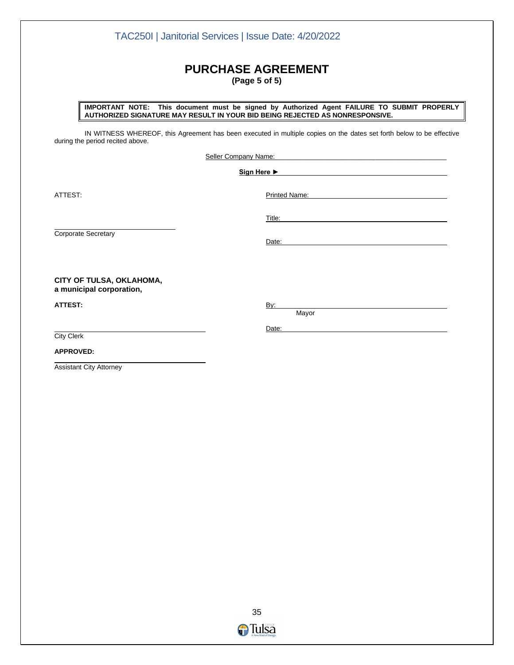## **PURCHASE AGREEMENT (Page 5 of 5)**

TAC250I | Janitorial Services | Issue Date: 4/20/2022

**IMPORTANT NOTE: This document must be signed by Authorized Agent FAILURE TO SUBMIT PROPERLY AUTHORIZED SIGNATURE MAY RESULT IN YOUR BID BEING REJECTED AS NONRESPONSIVE.** 

IN WITNESS WHEREOF, this Agreement has been executed in multiple copies on the dates set forth below to be effective during the period recited above.

Seller Company Name:

**Sign Here ►**

ATTEST: Printed Name:

Corporate Secretary

Date:

Title:

**CITY OF TULSA, OKLAHOMA, a municipal corporation,**

**ATTEST:** By:

Mayor

Date:

City Clerk

**APPROVED:**

Assistant City Attorney

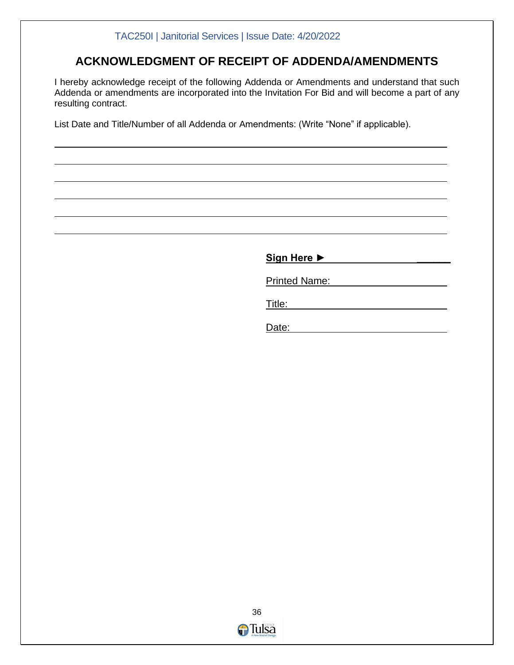## **ACKNOWLEDGMENT OF RECEIPT OF ADDENDA/AMENDMENTS**

I hereby acknowledge receipt of the following Addenda or Amendments and understand that such Addenda or amendments are incorporated into the Invitation For Bid and will become a part of any resulting contract.

List Date and Title/Number of all Addenda or Amendments: (Write "None" if applicable).

**Sign Here ► \_\_\_\_\_\_** Printed Name:

Title:

Date:

<u>36 - 1992 - 1993 - 1994 - 1995 - 1996 - 1997 - 1998 - 1999 - 1999 - 1999 - 1999 - 1999 - 1999 - 199</u> **O**Tulsa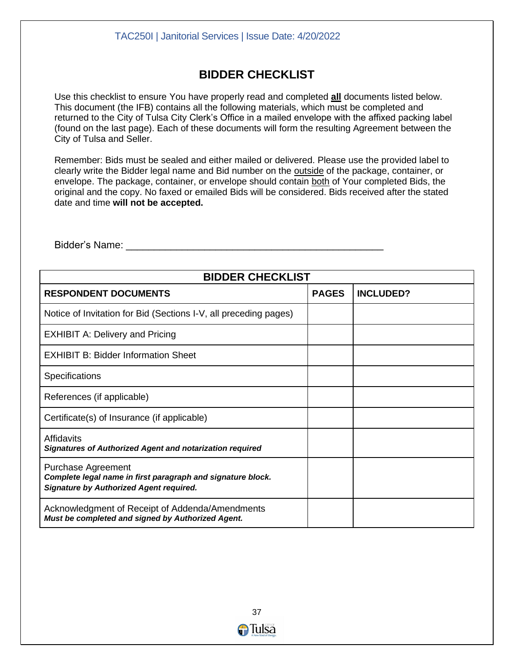## **BIDDER CHECKLIST**

Use this checklist to ensure You have properly read and completed **all** documents listed below. This document (the IFB) contains all the following materials, which must be completed and returned to the City of Tulsa City Clerk's Office in a mailed envelope with the affixed packing label (found on the last page). Each of these documents will form the resulting Agreement between the City of Tulsa and Seller.

Remember: Bids must be sealed and either mailed or delivered. Please use the provided label to clearly write the Bidder legal name and Bid number on the outside of the package, container, or envelope. The package, container, or envelope should contain both of Your completed Bids, the original and the copy. No faxed or emailed Bids will be considered. Bids received after the stated date and time **will not be accepted.** 

| <b>BIDDER CHECKLIST</b>                                                                                                             |  |                  |  |  |
|-------------------------------------------------------------------------------------------------------------------------------------|--|------------------|--|--|
| <b>RESPONDENT DOCUMENTS</b>                                                                                                         |  | <b>INCLUDED?</b> |  |  |
| Notice of Invitation for Bid (Sections I-V, all preceding pages)                                                                    |  |                  |  |  |
| <b>EXHIBIT A: Delivery and Pricing</b>                                                                                              |  |                  |  |  |
| <b>EXHIBIT B: Bidder Information Sheet</b>                                                                                          |  |                  |  |  |
| <b>Specifications</b>                                                                                                               |  |                  |  |  |
| References (if applicable)                                                                                                          |  |                  |  |  |
| Certificate(s) of Insurance (if applicable)                                                                                         |  |                  |  |  |
| Affidavits<br><b>Signatures of Authorized Agent and notarization required</b>                                                       |  |                  |  |  |
| Purchase Agreement<br>Complete legal name in first paragraph and signature block.<br><b>Signature by Authorized Agent required.</b> |  |                  |  |  |
| Acknowledgment of Receipt of Addenda/Amendments<br>Must be completed and signed by Authorized Agent.                                |  |                  |  |  |

Bidder's Name: **Example 20**